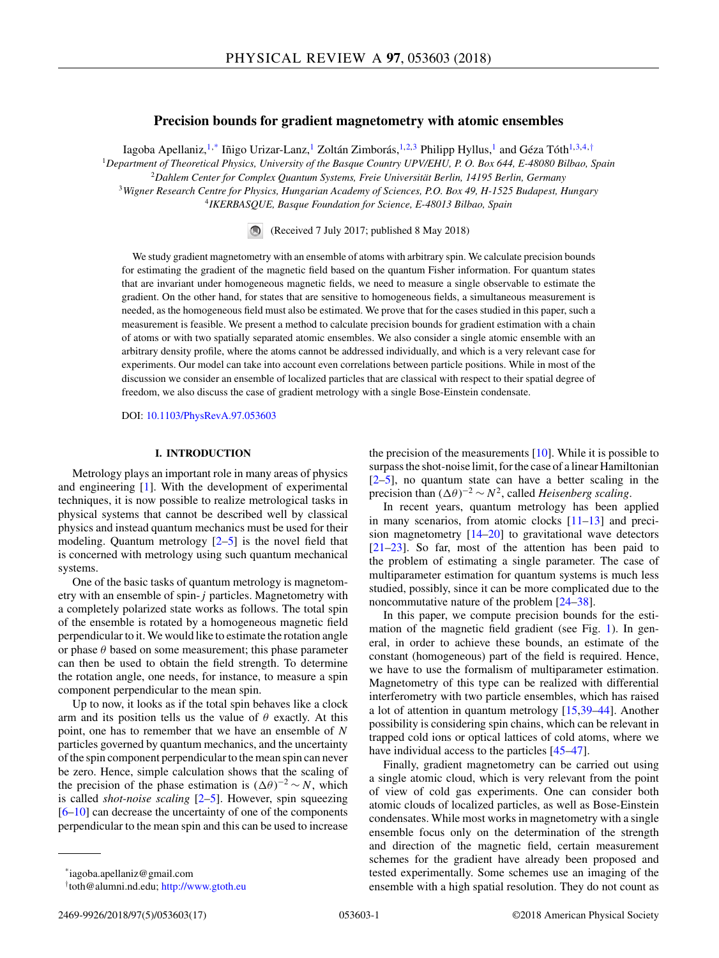# **Precision bounds for gradient magnetometry with atomic ensembles**

Iagoba Apellaniz,<sup>1,\*</sup> Iñigo Urizar-Lanz,<sup>1</sup> Zoltán Zimborás,<sup>1,2,3</sup> Philipp Hyllus,<sup>1</sup> and Géza Tóth<sup>1,3,4,†</sup>

<sup>1</sup>*Department of Theoretical Physics, University of the Basque Country UPV/EHU, P. O. Box 644, E-48080 Bilbao, Spain*

<sup>2</sup>*Dahlem Center for Complex Quantum Systems, Freie Universität Berlin, 14195 Berlin, Germany*

<sup>3</sup>*Wigner Research Centre for Physics, Hungarian Academy of Sciences, P.O. Box 49, H-1525 Budapest, Hungary*

<sup>4</sup>*IKERBASQUE, Basque Foundation for Science, E-48013 Bilbao, Spain*

(Received 7 July 2017; published 8 May 2018)

We study gradient magnetometry with an ensemble of atoms with arbitrary spin. We calculate precision bounds for estimating the gradient of the magnetic field based on the quantum Fisher information. For quantum states that are invariant under homogeneous magnetic fields, we need to measure a single observable to estimate the gradient. On the other hand, for states that are sensitive to homogeneous fields, a simultaneous measurement is needed, as the homogeneous field must also be estimated. We prove that for the cases studied in this paper, such a measurement is feasible. We present a method to calculate precision bounds for gradient estimation with a chain of atoms or with two spatially separated atomic ensembles. We also consider a single atomic ensemble with an arbitrary density profile, where the atoms cannot be addressed individually, and which is a very relevant case for experiments. Our model can take into account even correlations between particle positions. While in most of the discussion we consider an ensemble of localized particles that are classical with respect to their spatial degree of freedom, we also discuss the case of gradient metrology with a single Bose-Einstein condensate.

DOI: [10.1103/PhysRevA.97.053603](https://doi.org/10.1103/PhysRevA.97.053603)

## **I. INTRODUCTION**

Metrology plays an important role in many areas of physics and engineering [\[1\]](#page-14-0). With the development of experimental techniques, it is now possible to realize metrological tasks in physical systems that cannot be described well by classical physics and instead quantum mechanics must be used for their modeling. Quantum metrology  $[2-5]$  is the novel field that is concerned with metrology using such quantum mechanical systems.

One of the basic tasks of quantum metrology is magnetometry with an ensemble of spin-*j* particles. Magnetometry with a completely polarized state works as follows. The total spin of the ensemble is rotated by a homogeneous magnetic field perpendicular to it. We would like to estimate the rotation angle or phase  $\theta$  based on some measurement; this phase parameter can then be used to obtain the field strength. To determine the rotation angle, one needs, for instance, to measure a spin component perpendicular to the mean spin.

Up to now, it looks as if the total spin behaves like a clock arm and its position tells us the value of *θ* exactly. At this point, one has to remember that we have an ensemble of *N* particles governed by quantum mechanics, and the uncertainty of the spin component perpendicular to the mean spin can never be zero. Hence, simple calculation shows that the scaling of the precision of the phase estimation is  $(\Delta \theta)^{-2} \sim N$ , which is called *shot-noise scaling* [\[2–5\]](#page-14-0). However, spin squeezing [\[6–10\]](#page-14-0) can decrease the uncertainty of one of the components perpendicular to the mean spin and this can be used to increase

the precision of the measurements  $[10]$ . While it is possible to surpass the shot-noise limit, for the case of a linear Hamiltonian [\[2–5\]](#page-14-0), no quantum state can have a better scaling in the precision than  $(\Delta \theta)^{-2} \sim N^2$ , called *Heisenberg scaling*.

In recent years, quantum metrology has been applied in many scenarios, from atomic clocks [\[11–13\]](#page-14-0) and precision magnetometry [\[14–20\]](#page-14-0) to gravitational wave detectors [\[21–23\]](#page-14-0). So far, most of the attention has been paid to the problem of estimating a single parameter. The case of multiparameter estimation for quantum systems is much less studied, possibly, since it can be more complicated due to the noncommutative nature of the problem [\[24](#page-14-0)[–38\]](#page-15-0).

In this paper, we compute precision bounds for the estimation of the magnetic field gradient (see Fig. [1\)](#page-1-0). In general, in order to achieve these bounds, an estimate of the constant (homogeneous) part of the field is required. Hence, we have to use the formalism of multiparameter estimation. Magnetometry of this type can be realized with differential interferometry with two particle ensembles, which has raised a lot of attention in quantum metrology [\[15](#page-14-0)[,39–44\]](#page-15-0). Another possibility is considering spin chains, which can be relevant in trapped cold ions or optical lattices of cold atoms, where we have individual access to the particles [\[45–47\]](#page-15-0).

Finally, gradient magnetometry can be carried out using a single atomic cloud, which is very relevant from the point of view of cold gas experiments. One can consider both atomic clouds of localized particles, as well as Bose-Einstein condensates. While most works in magnetometry with a single ensemble focus only on the determination of the strength and direction of the magnetic field, certain measurement schemes for the gradient have already been proposed and tested experimentally. Some schemes use an imaging of the ensemble with a high spatial resolution. They do not count as

<sup>\*</sup>iagoba.apellaniz@gmail.com

<sup>†</sup> toth@alumni.nd.edu; <http://www.gtoth.eu>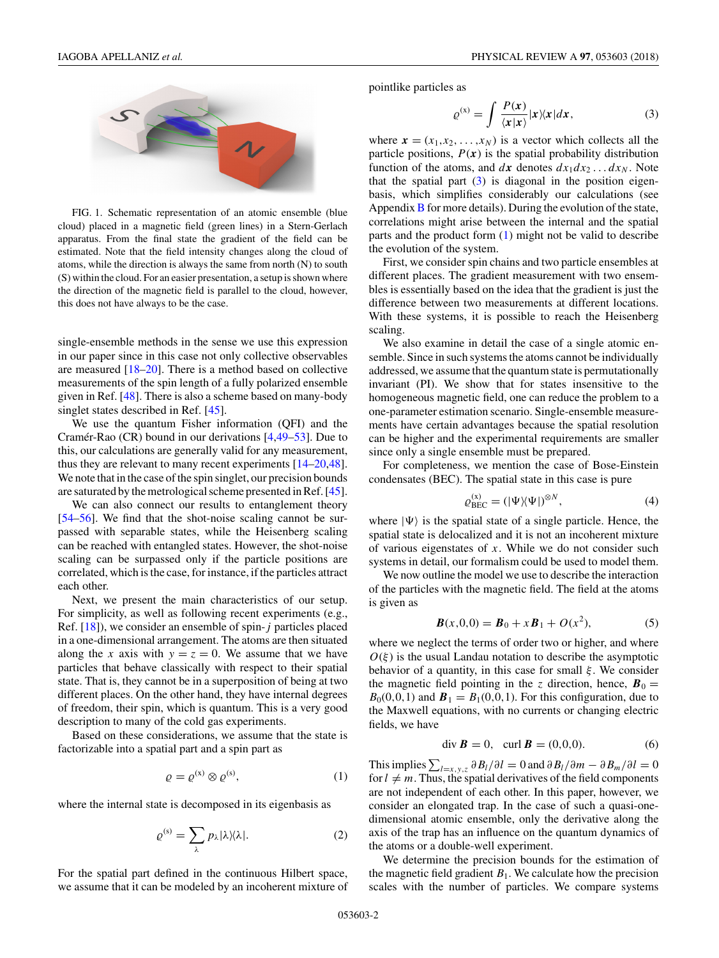<span id="page-1-0"></span>

FIG. 1. Schematic representation of an atomic ensemble (blue cloud) placed in a magnetic field (green lines) in a Stern-Gerlach apparatus. From the final state the gradient of the field can be estimated. Note that the field intensity changes along the cloud of atoms, while the direction is always the same from north (N) to south (S) within the cloud. For an easier presentation, a setup is shown where the direction of the magnetic field is parallel to the cloud, however, this does not have always to be the case.

single-ensemble methods in the sense we use this expression in our paper since in this case not only collective observables are measured [\[18–20\]](#page-14-0). There is a method based on collective measurements of the spin length of a fully polarized ensemble given in Ref. [\[48\]](#page-15-0). There is also a scheme based on many-body singlet states described in Ref. [\[45\]](#page-15-0).

We use the quantum Fisher information (QFI) and the Cramér-Rao (CR) bound in our derivations [\[4](#page-14-0)[,49–53\]](#page-15-0). Due to this, our calculations are generally valid for any measurement, thus they are relevant to many recent experiments [\[14–20,](#page-14-0)[48\]](#page-15-0). We note that in the case of the spin singlet, our precision bounds are saturated by the metrological scheme presented in Ref. [\[45\]](#page-15-0).

We can also connect our results to entanglement theory [\[54–56\]](#page-15-0). We find that the shot-noise scaling cannot be surpassed with separable states, while the Heisenberg scaling can be reached with entangled states. However, the shot-noise scaling can be surpassed only if the particle positions are correlated, which is the case, for instance, if the particles attract each other.

Next, we present the main characteristics of our setup. For simplicity, as well as following recent experiments (e.g., Ref. [\[18\]](#page-14-0)), we consider an ensemble of spin-*j* particles placed in a one-dimensional arrangement. The atoms are then situated along the *x* axis with  $y = z = 0$ . We assume that we have particles that behave classically with respect to their spatial state. That is, they cannot be in a superposition of being at two different places. On the other hand, they have internal degrees of freedom, their spin, which is quantum. This is a very good description to many of the cold gas experiments.

Based on these considerations, we assume that the state is factorizable into a spatial part and a spin part as

$$
\varrho = \varrho^{(x)} \otimes \varrho^{(s)},\tag{1}
$$

where the internal state is decomposed in its eigenbasis as

$$
\varrho^{(s)} = \sum_{\lambda} p_{\lambda} |\lambda\rangle\langle\lambda|.
$$
 (2)

For the spatial part defined in the continuous Hilbert space, we assume that it can be modeled by an incoherent mixture of pointlike particles as

$$
\varrho^{(x)} = \int \frac{P(x)}{\langle x | x \rangle} |x\rangle \langle x| dx, \tag{3}
$$

where  $\mathbf{x} = (x_1, x_2, \dots, x_N)$  is a vector which collects all the particle positions,  $P(x)$  is the spatial probability distribution function of the atoms, and  $dx$  denotes  $dx_1dx_2...dx_N$ . Note that the spatial part  $(3)$  is diagonal in the position eigenbasis, which simplifies considerably our calculations (see Appendix  $\bf{B}$  $\bf{B}$  $\bf{B}$  for more details). During the evolution of the state, correlations might arise between the internal and the spatial parts and the product form (1) might not be valid to describe the evolution of the system.

First, we consider spin chains and two particle ensembles at different places. The gradient measurement with two ensembles is essentially based on the idea that the gradient is just the difference between two measurements at different locations. With these systems, it is possible to reach the Heisenberg scaling.

We also examine in detail the case of a single atomic ensemble. Since in such systems the atoms cannot be individually addressed, we assume that the quantum state is permutationally invariant (PI). We show that for states insensitive to the homogeneous magnetic field, one can reduce the problem to a one-parameter estimation scenario. Single-ensemble measurements have certain advantages because the spatial resolution can be higher and the experimental requirements are smaller since only a single ensemble must be prepared.

For completeness, we mention the case of Bose-Einstein condensates (BEC). The spatial state in this case is pure

$$
\varrho_{\text{BEC}}^{(x)} = (|\Psi\rangle\langle\Psi|)^{\otimes N},\tag{4}
$$

where  $|\Psi\rangle$  is the spatial state of a single particle. Hence, the spatial state is delocalized and it is not an incoherent mixture of various eigenstates of *x.* While we do not consider such systems in detail, our formalism could be used to model them.

We now outline the model we use to describe the interaction of the particles with the magnetic field. The field at the atoms is given as

$$
\boldsymbol{B}(x,0,0) = \boldsymbol{B}_0 + x\boldsymbol{B}_1 + O(x^2),\tag{5}
$$

where we neglect the terms of order two or higher, and where  $O(\xi)$  is the usual Landau notation to describe the asymptotic behavior of a quantity, in this case for small *ξ* . We consider the magnetic field pointing in the *z* direction, hence,  $\mathbf{B}_0 =$  $B_0(0,0,1)$  and  $\mathbf{B}_1 = B_1(0,0,1)$ . For this configuration, due to the Maxwell equations, with no currents or changing electric fields, we have

$$
\text{div } \mathbf{B} = 0, \quad \text{curl } \mathbf{B} = (0, 0, 0). \tag{6}
$$

This implies  $\sum_{l=x,y,z} \frac{\partial B_l}{\partial l} = 0$  and  $\frac{\partial B_l}{\partial m} - \frac{\partial B_m}{\partial l} = 0$ for  $l \neq m$ . Thus, the spatial derivatives of the field components are not independent of each other. In this paper, however, we consider an elongated trap. In the case of such a quasi-onedimensional atomic ensemble, only the derivative along the axis of the trap has an influence on the quantum dynamics of the atoms or a double-well experiment.

We determine the precision bounds for the estimation of the magnetic field gradient  $B_1$ . We calculate how the precision scales with the number of particles. We compare systems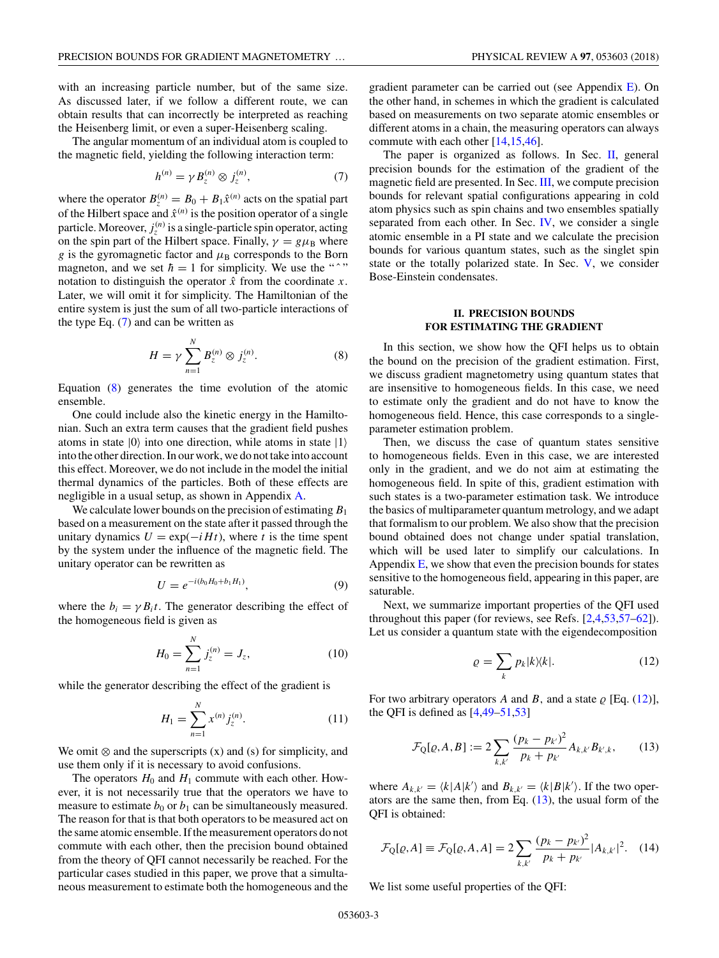<span id="page-2-0"></span>with an increasing particle number, but of the same size. As discussed later, if we follow a different route, we can obtain results that can incorrectly be interpreted as reaching the Heisenberg limit, or even a super-Heisenberg scaling.

The angular momentum of an individual atom is coupled to the magnetic field, yielding the following interaction term:

$$
h^{(n)} = \gamma B_z^{(n)} \otimes j_z^{(n)},\tag{7}
$$

where the operator  $B_7^{(n)} = B_0 + B_1 \hat{x}^{(n)}$  acts on the spatial part of the Hilbert space and  $\hat{x}^{(n)}$  is the position operator of a single particle. Moreover,  $j_z^{(n)}$  is a single-particle spin operator, acting on the spin part of the Hilbert space. Finally,  $\gamma = g\mu_B$  where *g* is the gyromagnetic factor and  $\mu$ <sub>B</sub> corresponds to the Born magneton, and we set  $\hbar = 1$  for simplicity. We use the "<sup> $\sim$ </sup>" notation to distinguish the operator  $\hat{x}$  from the coordinate  $x$ . Later, we will omit it for simplicity. The Hamiltonian of the entire system is just the sum of all two-particle interactions of the type Eq.  $(7)$  and can be written as

$$
H = \gamma \sum_{n=1}^{N} B_{z}^{(n)} \otimes j_{z}^{(n)}.
$$
 (8)

Equation (8) generates the time evolution of the atomic ensemble.

One could include also the kinetic energy in the Hamiltonian. Such an extra term causes that the gradient field pushes atoms in state  $|0\rangle$  into one direction, while atoms in state  $|1\rangle$ into the other direction. In our work, we do not take into account this effect. Moreover, we do not include in the model the initial thermal dynamics of the particles. Both of these effects are negligible in a usual setup, as shown in Appendix [A.](#page-11-0)

We calculate lower bounds on the precision of estimating*B*<sup>1</sup> based on a measurement on the state after it passed through the unitary dynamics  $U = \exp(-iHt)$ , where *t* is the time spent by the system under the influence of the magnetic field. The unitary operator can be rewritten as

$$
U = e^{-i(b_0 H_0 + b_1 H_1)}, \tag{9}
$$

where the  $b_i = \gamma B_i t$ . The generator describing the effect of the homogeneous field is given as

$$
H_0 = \sum_{n=1}^{N} j_z^{(n)} = J_z,
$$
 (10)

while the generator describing the effect of the gradient is

$$
H_1 = \sum_{n=1}^{N} x^{(n)} j_z^{(n)}.
$$
 (11)

We omit  $\otimes$  and the superscripts (x) and (s) for simplicity, and use them only if it is necessary to avoid confusions.

The operators  $H_0$  and  $H_1$  commute with each other. However, it is not necessarily true that the operators we have to measure to estimate  $b_0$  or  $b_1$  can be simultaneously measured. The reason for that is that both operators to be measured act on the same atomic ensemble. If the measurement operators do not commute with each other, then the precision bound obtained from the theory of QFI cannot necessarily be reached. For the particular cases studied in this paper, we prove that a simultaneous measurement to estimate both the homogeneous and the gradient parameter can be carried out (see Appendix [E\)](#page-13-0). On the other hand, in schemes in which the gradient is calculated based on measurements on two separate atomic ensembles or different atoms in a chain, the measuring operators can always commute with each other [\[14,15](#page-14-0)[,46\]](#page-15-0).

The paper is organized as follows. In Sec. II, general precision bounds for the estimation of the gradient of the magnetic field are presented. In Sec. [III,](#page-4-0) we compute precision bounds for relevant spatial configurations appearing in cold atom physics such as spin chains and two ensembles spatially separated from each other. In Sec. [IV,](#page-6-0) we consider a single atomic ensemble in a PI state and we calculate the precision bounds for various quantum states, such as the singlet spin state or the totally polarized state. In Sec. [V,](#page-10-0) we consider Bose-Einstein condensates.

# **II. PRECISION BOUNDS FOR ESTIMATING THE GRADIENT**

In this section, we show how the QFI helps us to obtain the bound on the precision of the gradient estimation. First, we discuss gradient magnetometry using quantum states that are insensitive to homogeneous fields. In this case, we need to estimate only the gradient and do not have to know the homogeneous field. Hence, this case corresponds to a singleparameter estimation problem.

Then, we discuss the case of quantum states sensitive to homogeneous fields. Even in this case, we are interested only in the gradient, and we do not aim at estimating the homogeneous field. In spite of this, gradient estimation with such states is a two-parameter estimation task. We introduce the basics of multiparameter quantum metrology, and we adapt that formalism to our problem. We also show that the precision bound obtained does not change under spatial translation, which will be used later to simplify our calculations. In Appendix  $E$ , we show that even the precision bounds for states sensitive to the homogeneous field, appearing in this paper, are saturable.

Next, we summarize important properties of the QFI used throughout this paper (for reviews, see Refs. [\[2,4](#page-14-0)[,53,57–62\]](#page-15-0)). Let us consider a quantum state with the eigendecomposition

$$
\varrho = \sum_{k} p_k |k\rangle\langle k|.\tag{12}
$$

For two arbitrary operators A and B, and a state  $\rho$  [Eq. (12)], the QFI is defined as  $[4,49-51,53]$  $[4,49-51,53]$ 

$$
\mathcal{F}_{Q}[\varrho, A, B] := 2 \sum_{k,k'} \frac{(p_k - p_{k'})^2}{p_k + p_{k'}} A_{k,k'} B_{k',k}, \qquad (13)
$$

where  $A_{k,k'} = \langle k | A | k' \rangle$  and  $B_{k,k'} = \langle k | B | k' \rangle$ . If the two operators are the same then, from Eq. (13), the usual form of the QFI is obtained:

$$
\mathcal{F}_{Q}[\varrho, A] \equiv \mathcal{F}_{Q}[\varrho, A, A] = 2 \sum_{k,k'} \frac{(p_k - p_{k'})^2}{p_k + p_{k'}} |A_{k,k'}|^2. \tag{14}
$$

We list some useful properties of the QFI: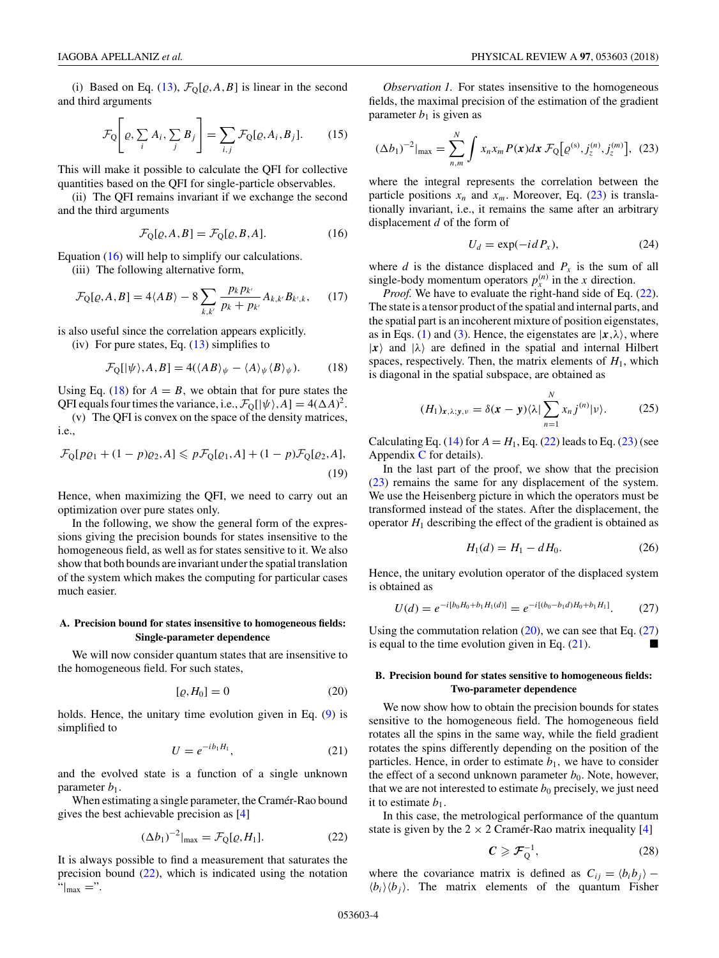<span id="page-3-0"></span>(i) Based on Eq. [\(13\)](#page-2-0),  $\mathcal{F}_{Q}[\rho, A, B]$  is linear in the second and third arguments

$$
\mathcal{F}_{Q}\left[\varrho,\sum_{i}A_{i},\sum_{j}B_{j}\right]=\sum_{i,j}\mathcal{F}_{Q}[\varrho,A_{i},B_{j}].\qquad(15)
$$

This will make it possible to calculate the QFI for collective quantities based on the QFI for single-particle observables.

(ii) The QFI remains invariant if we exchange the second and the third arguments

$$
\mathcal{F}_{Q}[\varrho, A, B] = \mathcal{F}_{Q}[\varrho, B, A]. \tag{16}
$$

Equation (16) will help to simplify our calculations.

(iii) The following alternative form,

$$
\mathcal{F}_{Q}[\varrho, A, B] = 4\langle AB \rangle - 8 \sum_{k,k'} \frac{p_{k} p_{k'}}{p_{k} + p_{k'}} A_{k,k'} B_{k',k}, \quad (17)
$$

is also useful since the correlation appears explicitly.

(iv) For pure states, Eq.  $(13)$  simplifies to

$$
\mathcal{F}_{Q}[|\psi\rangle, A, B] = 4(\langle AB\rangle_{\psi} - \langle A\rangle_{\psi} \langle B\rangle_{\psi}). \tag{18}
$$

Using Eq. (18) for  $A = B$ , we obtain that for pure states the QFI equals four times the variance, i.e.,  $\mathcal{F}_{Q}[\psi\rangle, A] = 4(\Delta A)^{2}$ .

(v) The QFI is convex on the space of the density matrices, i.e.,

$$
\mathcal{F}_{Q}[p\varrho_{1} + (1-p)\varrho_{2}, A] \leq p\mathcal{F}_{Q}[\varrho_{1}, A] + (1-p)\mathcal{F}_{Q}[\varrho_{2}, A],
$$
\n(19)

Hence, when maximizing the QFI, we need to carry out an optimization over pure states only.

In the following, we show the general form of the expressions giving the precision bounds for states insensitive to the homogeneous field, as well as for states sensitive to it. We also show that both bounds are invariant under the spatial translation of the system which makes the computing for particular cases much easier.

## **A. Precision bound for states insensitive to homogeneous fields: Single-parameter dependence**

We will now consider quantum states that are insensitive to the homogeneous field. For such states,

$$
[\varrho, H_0] = 0 \tag{20}
$$

holds. Hence, the unitary time evolution given in Eq. [\(9\)](#page-2-0) is simplified to

$$
U = e^{-ib_1H_1},\tag{21}
$$

and the evolved state is a function of a single unknown parameter  $b_1$ .

When estimating a single parameter, the Cramér-Rao bound gives the best achievable precision as [\[4\]](#page-14-0)

$$
(\Delta b_1)^{-2}|_{\text{max}} = \mathcal{F}_Q[\varrho, H_1].\tag{22}
$$

It is always possible to find a measurement that saturates the precision bound (22), which is indicated using the notation " $|_{\text{max}} =$ ".

*Observation 1.* For states insensitive to the homogeneous fields, the maximal precision of the estimation of the gradient parameter  $b_1$  is given as

$$
(\Delta b_1)^{-2}|_{\max} = \sum_{n,m}^{N} \int x_n x_m P(\mathbf{x}) d\mathbf{x} \, \mathcal{F}_{\mathbb{Q}}[{\varrho}^{(s)}, j_z^{(n)}, j_z^{(m)}], \tag{23}
$$

where the integral represents the correlation between the particle positions  $x_n$  and  $x_m$ . Moreover, Eq. (23) is translationally invariant, i.e., it remains the same after an arbitrary displacement *d* of the form of

$$
U_d = \exp(-idP_x), \tag{24}
$$

where  $d$  is the distance displaced and  $P_x$  is the sum of all single-body momentum operators  $p_x^{(n)}$  in the *x* direction.

*Proof.* We have to evaluate the right-hand side of Eq. (22). The state is a tensor product of the spatial and internal parts, and the spatial part is an incoherent mixture of position eigenstates, as in Eqs. [\(1\)](#page-1-0) and [\(3\)](#page-1-0). Hence, the eigenstates are  $|x, \lambda\rangle$ , where  $|x\rangle$  and  $|\lambda\rangle$  are defined in the spatial and internal Hilbert spaces, respectively. Then, the matrix elements of  $H_1$ , which is diagonal in the spatial subspace, are obtained as

$$
(H_1)_{x,\lambda;y,\nu} = \delta(x-y)\langle\lambda|\sum_{n=1}^N x_n j^{(n)}|\nu\rangle.
$$
 (25)

Calculating Eq. [\(14\)](#page-2-0) for  $A = H_1$ , Eq. (22) leads to Eq. (23) (see Appendix  $C$  for details).

In the last part of the proof, we show that the precision (23) remains the same for any displacement of the system. We use the Heisenberg picture in which the operators must be transformed instead of the states. After the displacement, the operator  $H_1$  describing the effect of the gradient is obtained as

$$
H_1(d) = H_1 - dH_0. \tag{26}
$$

Hence, the unitary evolution operator of the displaced system is obtained as

$$
U(d) = e^{-i[b_0 H_0 + b_1 H_1(d)]} = e^{-i[(b_0 - b_1 d)H_0 + b_1 H_1]}.
$$
 (27)

Using the commutation relation  $(20)$ , we can see that Eq.  $(27)$ is equal to the time evolution given in Eq.  $(21)$ .

## **B. Precision bound for states sensitive to homogeneous fields: Two-parameter dependence**

We now show how to obtain the precision bounds for states sensitive to the homogeneous field. The homogeneous field rotates all the spins in the same way, while the field gradient rotates the spins differently depending on the position of the particles. Hence, in order to estimate  $b_1$ , we have to consider the effect of a second unknown parameter  $b_0$ . Note, however, that we are not interested to estimate  $b_0$  precisely, we just need it to estimate  $b_1$ .

In this case, the metrological performance of the quantum state is given by the  $2 \times 2$  Cramér-Rao matrix inequality [\[4\]](#page-14-0)

$$
C \geqslant \mathcal{F}_Q^{-1},\tag{28}
$$

where the covariance matrix is defined as  $C_{ij} = \langle b_i b_j \rangle$  –  $\langle b_i \rangle \langle b_j \rangle$ . The matrix elements of the quantum Fisher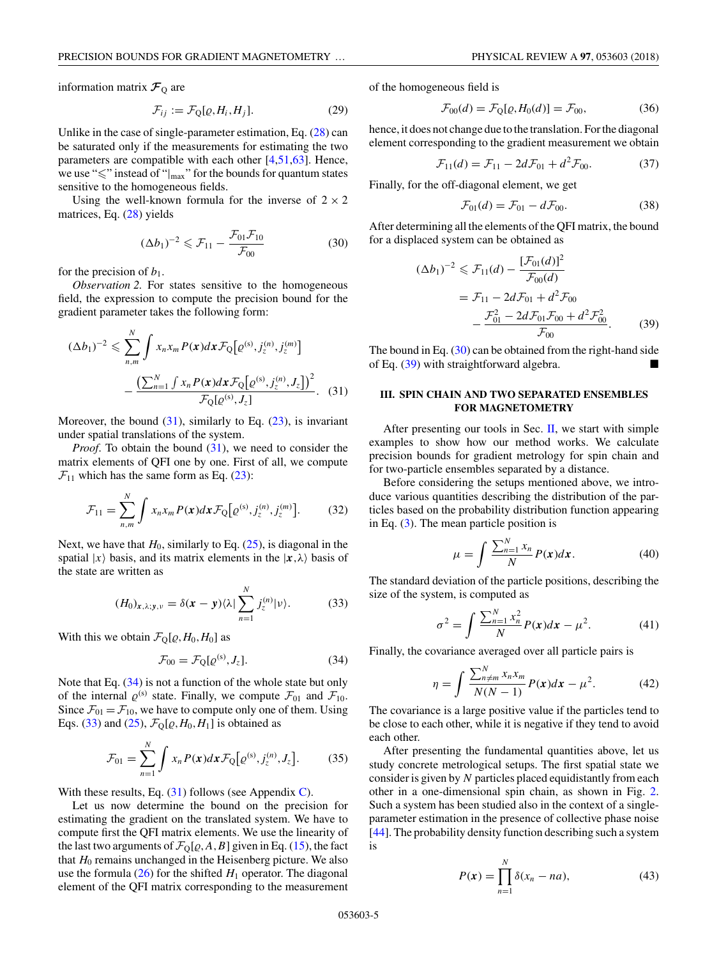<span id="page-4-0"></span>information matrix  $\mathcal{F}_{Q}$  are

$$
\mathcal{F}_{ij} := \mathcal{F}_{Q}[\varrho, H_i, H_j]. \tag{29}
$$

Unlike in the case of single-parameter estimation, Eq. [\(28\)](#page-3-0) can be saturated only if the measurements for estimating the two parameters are compatible with each other [\[4,](#page-14-0)[51,63\]](#page-15-0). Hence, we use " $\leq$ " instead of " $|_{\text{max}}$ " for the bounds for quantum states sensitive to the homogeneous fields.

Using the well-known formula for the inverse of  $2 \times 2$ matrices, Eq. [\(28\)](#page-3-0) yields

$$
(\Delta b_1)^{-2} \leq \mathcal{F}_{11} - \frac{\mathcal{F}_{01}\mathcal{F}_{10}}{\mathcal{F}_{00}} \tag{30}
$$

for the precision of  $b_1$ .

*Observation 2.* For states sensitive to the homogeneous field, the expression to compute the precision bound for the gradient parameter takes the following form:

$$
(\Delta b_1)^{-2} \leq \sum_{n,m}^{N} \int x_n x_m P(\mathbf{x}) d\mathbf{x} \mathcal{F}_{Q}[\varrho^{(s)}, j_z^{(n)}, j_z^{(m)}] - \frac{\left(\sum_{n=1}^{N} \int x_n P(\mathbf{x}) d\mathbf{x} \mathcal{F}_{Q}[\varrho^{(s)}, j_z^{(n)}, J_z]\right)^2}{\mathcal{F}_{Q}[\varrho^{(s)}, J_z]}.
$$
 (31)

Moreover, the bound  $(31)$ , similarly to Eq.  $(23)$ , is invariant under spatial translations of the system.

*Proof.* To obtain the bound (31), we need to consider the matrix elements of QFI one by one. First of all, we compute  $\mathcal{F}_{11}$  which has the same form as Eq. [\(23\)](#page-3-0):

$$
\mathcal{F}_{11} = \sum_{n,m}^{N} \int x_n x_m P(\mathbf{x}) d\mathbf{x} \mathcal{F}_{Q} [\varrho^{(s)}, j_z^{(n)}, j_z^{(m)}]. \tag{32}
$$

Next, we have that  $H_0$ , similarly to Eq.  $(25)$ , is diagonal in the spatial  $|x\rangle$  basis, and its matrix elements in the  $|x, \lambda\rangle$  basis of the state are written as

$$
(H_0)_{\mathbf{x},\lambda;\mathbf{y},\nu} = \delta(\mathbf{x} - \mathbf{y})\langle\lambda|\sum_{n=1}^N j_z^{(n)}|\nu\rangle.
$$
 (33)

With this we obtain  $\mathcal{F}_{Q}[\varrho, H_0, H_0]$  as

$$
\mathcal{F}_{00} = \mathcal{F}_{Q}[\varrho^{(s)}, J_{z}]. \tag{34}
$$

Note that Eq. (34) is not a function of the whole state but only of the internal  $\varrho^{(s)}$  state. Finally, we compute  $\mathcal{F}_{01}$  and  $\mathcal{F}_{10}$ . Since  $\mathcal{F}_{01} = \mathcal{F}_{10}$ , we have to compute only one of them. Using Eqs. (33) and [\(25\)](#page-3-0),  $\mathcal{F}_{Q}[\varrho, H_0, H_1]$  is obtained as

$$
\mathcal{F}_{01} = \sum_{n=1}^{N} \int x_n P(\mathbf{x}) d\mathbf{x} \mathcal{F}_{Q}[\varrho^{(s)}, j_z^{(n)}, J_z]. \tag{35}
$$

With these results, Eq.  $(31)$  follows (see Appendix [C\)](#page-12-0).

Let us now determine the bound on the precision for estimating the gradient on the translated system. We have to compute first the QFI matrix elements. We use the linearity of the last two arguments of  $\mathcal{F}_0[\varrho,A,B]$  given in Eq. [\(15\)](#page-3-0), the fact that  $H_0$  remains unchanged in the Heisenberg picture. We also use the formula  $(26)$  for the shifted  $H_1$  operator. The diagonal element of the QFI matrix corresponding to the measurement of the homogeneous field is

$$
\mathcal{F}_{00}(d) = \mathcal{F}_{Q}[\varrho, H_0(d)] = \mathcal{F}_{00},\tag{36}
$$

hence, it does not change due to the translation. For the diagonal element corresponding to the gradient measurement we obtain

$$
\mathcal{F}_{11}(d) = \mathcal{F}_{11} - 2d\mathcal{F}_{01} + d^2\mathcal{F}_{00}.
$$
 (37)

Finally, for the off-diagonal element, we get

$$
\mathcal{F}_{01}(d) = \mathcal{F}_{01} - d\mathcal{F}_{00}.
$$
 (38)

After determining all the elements of the QFI matrix, the bound for a displaced system can be obtained as

$$
(\Delta b_1)^{-2} \leq \mathcal{F}_{11}(d) - \frac{[\mathcal{F}_{01}(d)]^2}{\mathcal{F}_{00}(d)}
$$
  
=  $\mathcal{F}_{11} - 2d\mathcal{F}_{01} + d^2\mathcal{F}_{00}$   

$$
- \frac{\mathcal{F}_{01}^2 - 2d\mathcal{F}_{01}\mathcal{F}_{00} + d^2\mathcal{F}_{00}^2}{\mathcal{F}_{00}}.
$$
 (39)

The bound in Eq.  $(30)$  can be obtained from the right-hand side of Eq. (39) with straightforward algebra.

## **III. SPIN CHAIN AND TWO SEPARATED ENSEMBLES FOR MAGNETOMETRY**

After presenting our tools in Sec.  $II$ , we start with simple examples to show how our method works. We calculate precision bounds for gradient metrology for spin chain and for two-particle ensembles separated by a distance.

Before considering the setups mentioned above, we introduce various quantities describing the distribution of the particles based on the probability distribution function appearing in Eq. [\(3\)](#page-1-0). The mean particle position is

$$
\mu = \int \frac{\sum_{n=1}^{N} x_n}{N} P(x) dx.
$$
 (40)

The standard deviation of the particle positions, describing the size of the system, is computed as

$$
\sigma^2 = \int \frac{\sum_{n=1}^N x_n^2}{N} P(\mathbf{x}) d\mathbf{x} - \mu^2.
$$
 (41)

Finally, the covariance averaged over all particle pairs is

$$
\eta = \int \frac{\sum_{n \neq m}^{N} x_n x_m}{N(N-1)} P(\mathbf{x}) d\mathbf{x} - \mu^2.
$$
 (42)

The covariance is a large positive value if the particles tend to be close to each other, while it is negative if they tend to avoid each other.

After presenting the fundamental quantities above, let us study concrete metrological setups. The first spatial state we consider is given by *N* particles placed equidistantly from each other in a one-dimensional spin chain, as shown in Fig. [2.](#page-5-0) Such a system has been studied also in the context of a singleparameter estimation in the presence of collective phase noise [\[44\]](#page-15-0). The probability density function describing such a system is

$$
P(\mathbf{x}) = \prod_{n=1}^{N} \delta(x_n - na),
$$
\n(43)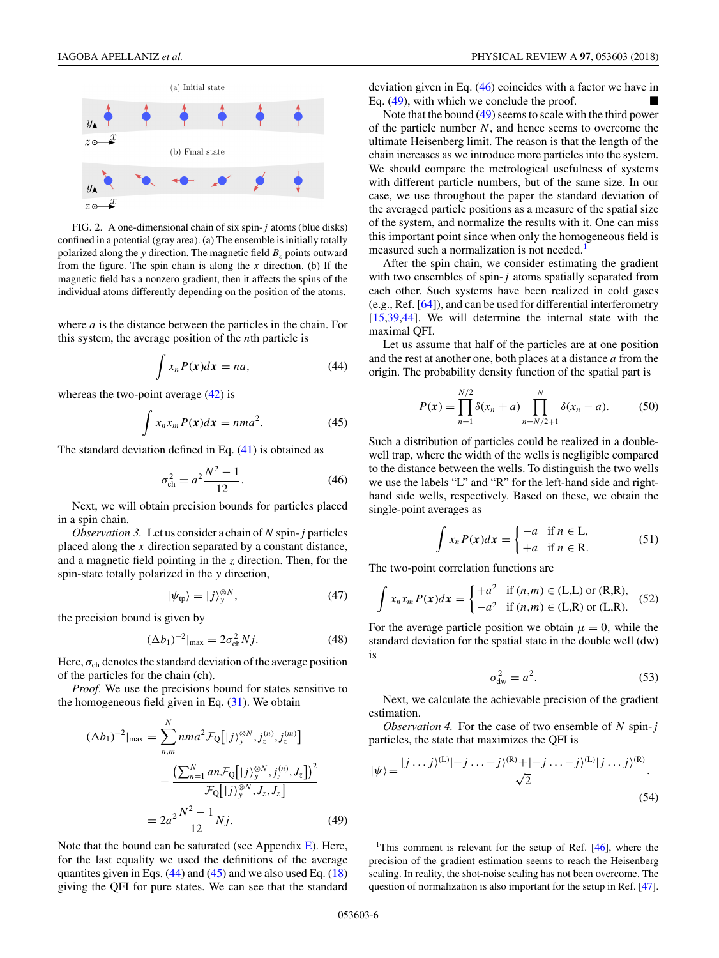<span id="page-5-0"></span>

FIG. 2. A one-dimensional chain of six spin-*j* atoms (blue disks) confined in a potential (gray area). (a) The ensemble is initially totally polarized along the *y* direction. The magnetic field  $B<sub>z</sub>$  points outward from the figure. The spin chain is along the *x* direction. (b) If the magnetic field has a nonzero gradient, then it affects the spins of the individual atoms differently depending on the position of the atoms.

where *a* is the distance between the particles in the chain. For this system, the average position of the *n*th particle is

$$
\int x_n P(x) dx = na,
$$
\n(44)

whereas the two-point average  $(42)$  is

$$
\int x_n x_m P(x) dx = nma^2. \tag{45}
$$

The standard deviation defined in Eq. [\(41\)](#page-4-0) is obtained as

$$
\sigma_{\rm ch}^2 = a^2 \frac{N^2 - 1}{12}.
$$
 (46)

Next, we will obtain precision bounds for particles placed in a spin chain.

*Observation 3.* Let us consider a chain of*N* spin-*j* particles placed along the *x* direction separated by a constant distance, and a magnetic field pointing in the *z* direction. Then, for the spin-state totally polarized in the *y* direction,

$$
|\psi_{\text{tp}}\rangle = |j\rangle_{\text{y}}^{\otimes N},\tag{47}
$$

the precision bound is given by

$$
(\Delta b_1)^{-2}|_{\text{max}} = 2\sigma_{\text{ch}}^2 N j. \tag{48}
$$

Here,  $\sigma_{ch}$  denotes the standard deviation of the average position of the particles for the chain (ch).

*Proof*. We use the precisions bound for states sensitive to the homogeneous field given in Eq.  $(31)$ . We obtain

$$
(\Delta b_1)^{-2}|_{\max} = \sum_{n,m}^N nma^2 \mathcal{F}_{Q} [ |j\rangle_{y}^{\otimes N}, j_z^{(n)}, j_z^{(m)}] - \frac{\left(\sum_{n=1}^N an \mathcal{F}_{Q} [ |j\rangle_{y}^{\otimes N}, j_z^{(n)}, J_z] \right)^2}{\mathcal{F}_{Q} [ |j\rangle_{y}^{\otimes N}, J_z, J_z] - 2a^2 \frac{N^2 - 1}{12} Nj.}
$$
(49)

Note that the bound can be saturated (see Appendix  $E$ ). Here, for the last equality we used the definitions of the average quantites given in Eqs.  $(44)$  and  $(45)$  and we also used Eq.  $(18)$ giving the QFI for pure states. We can see that the standard deviation given in Eq. (46) coincides with a factor we have in Eq.  $(49)$ , with which we conclude the proof.

Note that the bound (49) seems to scale with the third power of the particle number *N*, and hence seems to overcome the ultimate Heisenberg limit. The reason is that the length of the chain increases as we introduce more particles into the system. We should compare the metrological usefulness of systems with different particle numbers, but of the same size. In our case, we use throughout the paper the standard deviation of the averaged particle positions as a measure of the spatial size of the system, and normalize the results with it. One can miss this important point since when only the homogeneous field is measured such a normalization is not needed.<sup>1</sup>

After the spin chain, we consider estimating the gradient with two ensembles of spin-*j* atoms spatially separated from each other. Such systems have been realized in cold gases (e.g., Ref. [\[64\]](#page-15-0)), and can be used for differential interferometry [\[15,](#page-14-0)[39,44\]](#page-15-0). We will determine the internal state with the maximal QFI.

Let us assume that half of the particles are at one position and the rest at another one, both places at a distance *a* from the origin. The probability density function of the spatial part is

$$
P(\mathbf{x}) = \prod_{n=1}^{N/2} \delta(x_n + a) \prod_{n=N/2+1}^{N} \delta(x_n - a).
$$
 (50)

Such a distribution of particles could be realized in a doublewell trap, where the width of the wells is negligible compared to the distance between the wells. To distinguish the two wells we use the labels "L" and "R" for the left-hand side and righthand side wells, respectively. Based on these, we obtain the single-point averages as

$$
\int x_n P(\mathbf{x}) d\mathbf{x} = \begin{cases} -a & \text{if } n \in \mathcal{L}, \\ +a & \text{if } n \in \mathcal{R}. \end{cases}
$$
 (51)

The two-point correlation functions are

$$
\int x_n x_m P(x) dx = \begin{cases} +a^2 & \text{if } (n,m) \in (\text{L},\text{L}) \text{ or } (\text{R},\text{R}), \\ -a^2 & \text{if } (n,m) \in (\text{L},\text{R}) \text{ or } (\text{L},\text{R}). \end{cases}
$$
(52)

For the average particle position we obtain  $\mu = 0$ , while the standard deviation for the spatial state in the double well (dw) is

$$
\sigma_{\rm dw}^2 = a^2. \tag{53}
$$

Next, we calculate the achievable precision of the gradient estimation.

*Observation 4.* For the case of two ensemble of *N* spin-*j* particles, the state that maximizes the QFI is

$$
|\psi\rangle = \frac{|j \dots j^{\langle L \rangle}| - j \dots - j^{\langle R \rangle} + |-j \dots - j^{\langle L \rangle}|j \dots j^{\langle R \rangle}}{\sqrt{2}}.
$$
\n(54)

<sup>1</sup>This comment is relevant for the setup of Ref.  $[46]$ , where the precision of the gradient estimation seems to reach the Heisenberg scaling. In reality, the shot-noise scaling has not been overcome. The question of normalization is also important for the setup in Ref. [\[47\]](#page-15-0).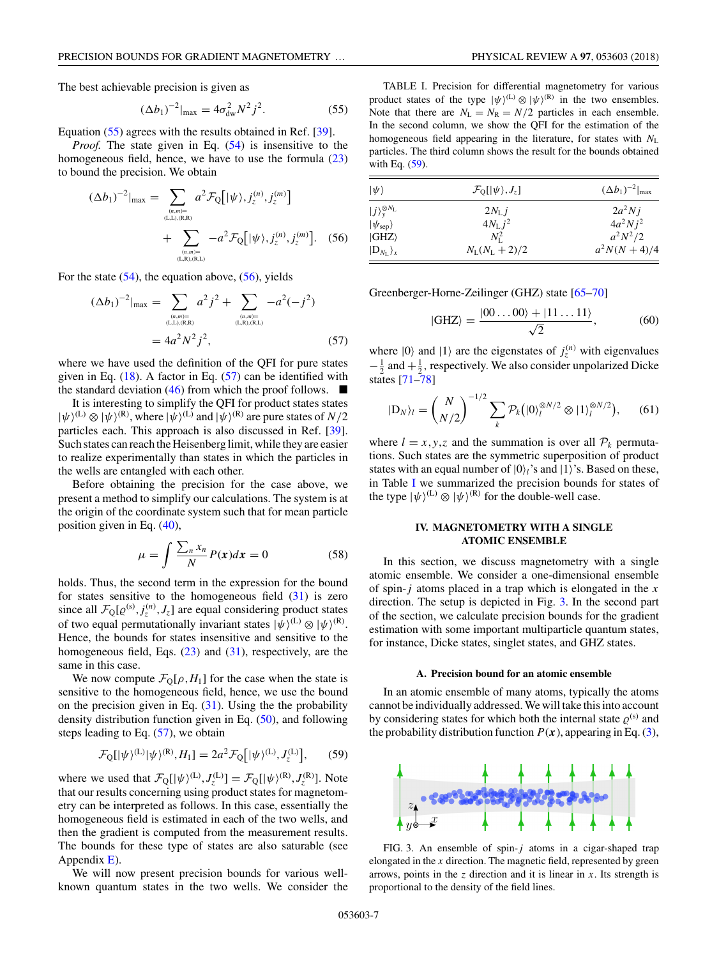<span id="page-6-0"></span>The best achievable precision is given as

$$
(\Delta b_1)^{-2}|_{\text{max}} = 4\sigma_{\text{dw}}^2 N^2 j^2. \tag{55}
$$

Equation (55) agrees with the results obtained in Ref. [\[39\]](#page-15-0).

*Proof.* The state given in Eq. [\(54\)](#page-5-0) is insensitive to the homogeneous field, hence, we have to use the formula [\(23\)](#page-3-0) to bound the precision. We obtain

$$
(\Delta b_1)^{-2}|_{\max} = \sum_{(n,m)=\atop{(L,L),(R,R)}} a^2 \mathcal{F}_Q[|\psi\rangle, j_z^{(n)}, j_z^{(m)}]
$$
  
+ 
$$
\sum_{(n,m)=\atop{(L,R),(R,L)}} -a^2 \mathcal{F}_Q[|\psi\rangle, j_z^{(n)}, j_z^{(m)}].
$$
 (56)

For the state  $(54)$ , the equation above,  $(56)$ , yields

$$
(\Delta b_1)^{-2}|_{\max} = \sum_{(a,m)=\atop{(L,L),(R,R)}} a^2 j^2 + \sum_{(a,m)=\atop{(L,R),(R,L)}} -a^2(-j^2)
$$
  
=  $4a^2 N^2 j^2$ , (57)

where we have used the definition of the QFI for pure states given in Eq.  $(18)$ . A factor in Eq.  $(57)$  can be identified with the standard deviation [\(46\)](#page-5-0) from which the proof follows.  $\blacksquare$ 

It is interesting to simplify the QFI for product states states  $|\psi\rangle^{(L)} \otimes |\psi\rangle^{(R)}$ , where  $|\psi\rangle^{(L)}$  and  $|\psi\rangle^{(R)}$  are pure states of *N/2* particles each. This approach is also discussed in Ref. [\[39\]](#page-15-0). Such states can reach the Heisenberg limit, while they are easier to realize experimentally than states in which the particles in the wells are entangled with each other.

Before obtaining the precision for the case above, we present a method to simplify our calculations. The system is at the origin of the coordinate system such that for mean particle position given in Eq. [\(40\)](#page-4-0),

$$
\mu = \int \frac{\sum_{n} x_n}{N} P(\mathbf{x}) d\mathbf{x} = 0 \tag{58}
$$

holds. Thus, the second term in the expression for the bound for states sensitive to the homogeneous field  $(31)$  is zero since all  $\mathcal{F}_{\mathcal{O}}[\varrho^{(s)}, j^{(n)}_{z}, J_{z}]$  are equal considering product states of two equal permutationally invariant states  $|\psi\rangle^{(L)} \otimes |\psi\rangle^{(R)}$ . Hence, the bounds for states insensitive and sensitive to the homogeneous field, Eqs.  $(23)$  and  $(31)$ , respectively, are the same in this case.

We now compute  $\mathcal{F}_{Q}[\rho, H_1]$  for the case when the state is sensitive to the homogeneous field, hence, we use the bound on the precision given in Eq.  $(31)$ . Using the the probability density distribution function given in Eq. [\(50\)](#page-5-0), and following steps leading to Eq. (57), we obtain

$$
\mathcal{F}_{Q}[|\psi\rangle^{(L)}|\psi\rangle^{(R)}, H_{1}] = 2a^{2} \mathcal{F}_{Q}[|\psi\rangle^{(L)}, J_{z}^{(L)}], \qquad (59)
$$

where we used that  $\mathcal{F}_Q[|\psi\rangle^{(L)}, J_z^{(L)}] = \mathcal{F}_Q[|\psi\rangle^{(R)}, J_z^{(R)}]$ . Note that our results concerning using product states for magnetometry can be interpreted as follows. In this case, essentially the homogeneous field is estimated in each of the two wells, and then the gradient is computed from the measurement results. The bounds for these type of states are also saturable (see Appendix [E\)](#page-13-0).

We will now present precision bounds for various wellknown quantum states in the two wells. We consider the

TABLE I. Precision for differential magnetometry for various product states of the type  $|\psi\rangle^{(L)} \otimes |\psi\rangle^{(R)}$  in the two ensembles. Note that there are  $N_L = N_R = N/2$  particles in each ensemble. In the second column, we show the QFI for the estimation of the homogeneous field appearing in the literature, for states with *N*<sup>L</sup> particles. The third column shows the result for the bounds obtained with Eq. (59).

| $ \psi\rangle$                      | $\mathcal{F}_0[\ket{\psi},J_z]$ | $(\Delta b_1)^{-2} _{\max}$ |
|-------------------------------------|---------------------------------|-----------------------------|
| $ j\rangle_{v}^{\otimes N_{\rm L}}$ | $2N_{\rm L}i$                   | $2a^2Ni$                    |
| $ \psi_{\rm sep}\rangle$            | $4N_L j^2$                      | $4a^2Ni^2$                  |
| $ GHZ\rangle$                       | $N_{\rm r}^2$                   | $a^2N^2/2$                  |
| $ D_{N_1}\rangle_x$                 | $N_{\rm L}(N_{\rm L}+2)/2$      | $a^2N(N+4)/4$               |

Greenberger-Horne-Zeilinger (GHZ) state [\[65–](#page-15-0)[70\]](#page-16-0)

$$
|\text{GHZ}\rangle = \frac{|00...00\rangle + |11...11\rangle}{\sqrt{2}},\tag{60}
$$

where  $|0\rangle$  and  $|1\rangle$  are the eigenstates of  $j_z^{(n)}$  with eigenvalues  $-\frac{1}{2}$  and  $+\frac{1}{2}$ , respectively. We also consider unpolarized Dicke states [\[71–78\]](#page-16-0)

$$
|\mathcal{D}_N\rangle_l = \binom{N}{N/2}^{-1/2} \sum_k \mathcal{P}_k \big( |0\rangle_l^{\otimes N/2} \otimes |1\rangle_l^{\otimes N/2} \big), \qquad (61)
$$

where  $l = x, y, z$  and the summation is over all  $\mathcal{P}_k$  permutations. Such states are the symmetric superposition of product states with an equal number of  $|0\rangle$ <sup>'</sup>s and  $|1\rangle$ 's. Based on these, in Table I we summarized the precision bounds for states of the type  $|\psi\rangle^{(L)} \otimes |\psi\rangle^{(R)}$  for the double-well case.

# **IV. MAGNETOMETRY WITH A SINGLE ATOMIC ENSEMBLE**

In this section, we discuss magnetometry with a single atomic ensemble. We consider a one-dimensional ensemble of spin-*j* atoms placed in a trap which is elongated in the *x* direction. The setup is depicted in Fig. 3. In the second part of the section, we calculate precision bounds for the gradient estimation with some important multiparticle quantum states, for instance, Dicke states, singlet states, and GHZ states.

### **A. Precision bound for an atomic ensemble**

In an atomic ensemble of many atoms, typically the atoms cannot be individually addressed. We will take this into account by considering states for which both the internal state  $\varrho^{(s)}$  and the probability distribution function  $P(x)$ , appearing in Eq. [\(3\)](#page-1-0),



FIG. 3. An ensemble of spin-*j* atoms in a cigar-shaped trap elongated in the *x* direction. The magnetic field, represented by green arrows, points in the *z* direction and it is linear in *x*. Its strength is proportional to the density of the field lines.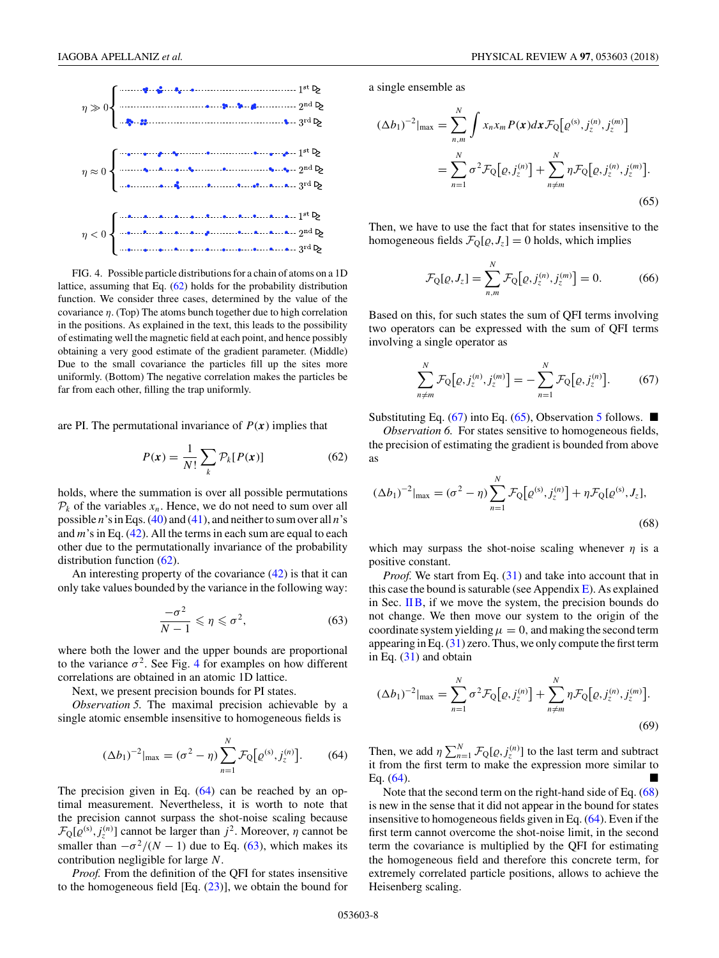<span id="page-7-0"></span>

FIG. 4. Possible particle distributions for a chain of atoms on a 1D lattice, assuming that Eq. (62) holds for the probability distribution function. We consider three cases, determined by the value of the covariance *η*. (Top) The atoms bunch together due to high correlation in the positions. As explained in the text, this leads to the possibility of estimating well the magnetic field at each point, and hence possibly obtaining a very good estimate of the gradient parameter. (Middle) Due to the small covariance the particles fill up the sites more uniformly. (Bottom) The negative correlation makes the particles be far from each other, filling the trap uniformly.

are PI. The permutational invariance of  $P(x)$  implies that

$$
P(x) = \frac{1}{N!} \sum_{k} \mathcal{P}_k[P(x)] \tag{62}
$$

holds, where the summation is over all possible permutations  $P_k$  of the variables  $x_n$ . Hence, we do not need to sum over all possible *n*'s in Eqs. [\(40\)](#page-4-0) and [\(41\)](#page-4-0), and neither to sum over all *n*'s and *m*'s in Eq. [\(42\)](#page-4-0). All the terms in each sum are equal to each other due to the permutationally invariance of the probability distribution function  $(62)$ .

An interesting property of the covariance [\(42\)](#page-4-0) is that it can only take values bounded by the variance in the following way:

$$
\frac{-\sigma^2}{N-1} \leqslant \eta \leqslant \sigma^2,\tag{63}
$$

where both the lower and the upper bounds are proportional to the variance  $\sigma^2$ . See Fig. 4 for examples on how different correlations are obtained in an atomic 1D lattice.

Next, we present precision bounds for PI states.

*Observation 5.* The maximal precision achievable by a single atomic ensemble insensitive to homogeneous fields is

$$
(\Delta b_1)^{-2}|_{\text{max}} = (\sigma^2 - \eta) \sum_{n=1}^{N} \mathcal{F}_{Q} [\varrho^{(s)}, j_z^{(n)}].
$$
 (64)

The precision given in Eq.  $(64)$  can be reached by an optimal measurement. Nevertheless, it is worth to note that the precision cannot surpass the shot-noise scaling because  $\mathcal{F}_{Q}[\varrho^{(s)}, j_{z}^{(n)}]$  cannot be larger than  $j^{2}$ . Moreover,  $\eta$  cannot be smaller than  $-\sigma^2/(N-1)$  due to Eq. (63), which makes its contribution negligible for large *N*.

*Proof.* From the definition of the QFI for states insensitive to the homogeneous field [Eq. [\(23\)](#page-3-0)], we obtain the bound for a single ensemble as

$$
(\Delta b_1)^{-2}|_{\max} = \sum_{n,m}^{N} \int x_n x_m P(\mathbf{x}) d\mathbf{x} \mathcal{F}_{Q} [ \varrho^{(s)}, j_z^{(n)}, j_z^{(m)} ]
$$
  
= 
$$
\sum_{n=1}^{N} \sigma^2 \mathcal{F}_{Q} [\varrho, j_z^{(n)}] + \sum_{n \neq m}^{N} \eta \mathcal{F}_{Q} [\varrho, j_z^{(n)}, j_z^{(m)} ].
$$
(65)

Then, we have to use the fact that for states insensitive to the homogeneous fields  $\mathcal{F}_{Q}[\varrho, J_{z}] = 0$  holds, which implies

$$
\mathcal{F}_{\mathbf{Q}}[\varrho, J_z] = \sum_{n,m}^{N} \mathcal{F}_{\mathbf{Q}}[\varrho, j_z^{(n)}, j_z^{(m)}] = 0.
$$
 (66)

Based on this, for such states the sum of QFI terms involving two operators can be expressed with the sum of QFI terms involving a single operator as

$$
\sum_{n \neq m}^{N} \mathcal{F}_{Q}[\varrho, j_{z}^{(n)}, j_{z}^{(m)}] = -\sum_{n=1}^{N} \mathcal{F}_{Q}[\varrho, j_{z}^{(n)}]. \tag{67}
$$

Substituting Eq. (67) into Eq. (65), Observation 5 follows.  $\blacksquare$ 

*Observation 6.* For states sensitive to homogeneous fields, the precision of estimating the gradient is bounded from above as

$$
(\Delta b_1)^{-2}|_{\max} = (\sigma^2 - \eta) \sum_{n=1}^{N} \mathcal{F}_{Q}[\varrho^{(s)}, j_z^{(n)}] + \eta \mathcal{F}_{Q}[\varrho^{(s)}, J_z],
$$
\n(68)

which may surpass the shot-noise scaling whenever  $\eta$  is a positive constant.

*Proof.* We start from Eq. [\(31\)](#page-4-0) and take into account that in this case the bound is saturable (see Appendix  $E$ ). As explained in Sec. IIB, if we move the system, the precision bounds do not change. We then move our system to the origin of the coordinate system yielding  $\mu = 0$ , and making the second term appearing in Eq.  $(31)$  zero. Thus, we only compute the first term in Eq.  $(31)$  and obtain

$$
(\Delta b_1)^{-2}|_{\max} = \sum_{n=1}^{N} \sigma^2 \mathcal{F}_{Q}[\varrho, j_z^{(n)}] + \sum_{n \neq m}^{N} \eta \mathcal{F}_{Q}[\varrho, j_z^{(n)}, j_z^{(m)}].
$$
\n(69)

Then, we add  $\eta \sum_{n=1}^{N} \mathcal{F}_{Q}[\varrho, j_{z}^{(n)}]$  to the last term and subtract it from the first term to make the expression more similar to Eq.  $(64)$ .

Note that the second term on the right-hand side of Eq. (68) is new in the sense that it did not appear in the bound for states insensitive to homogeneous fields given in Eq. (64). Even if the first term cannot overcome the shot-noise limit, in the second term the covariance is multiplied by the QFI for estimating the homogeneous field and therefore this concrete term, for extremely correlated particle positions, allows to achieve the Heisenberg scaling.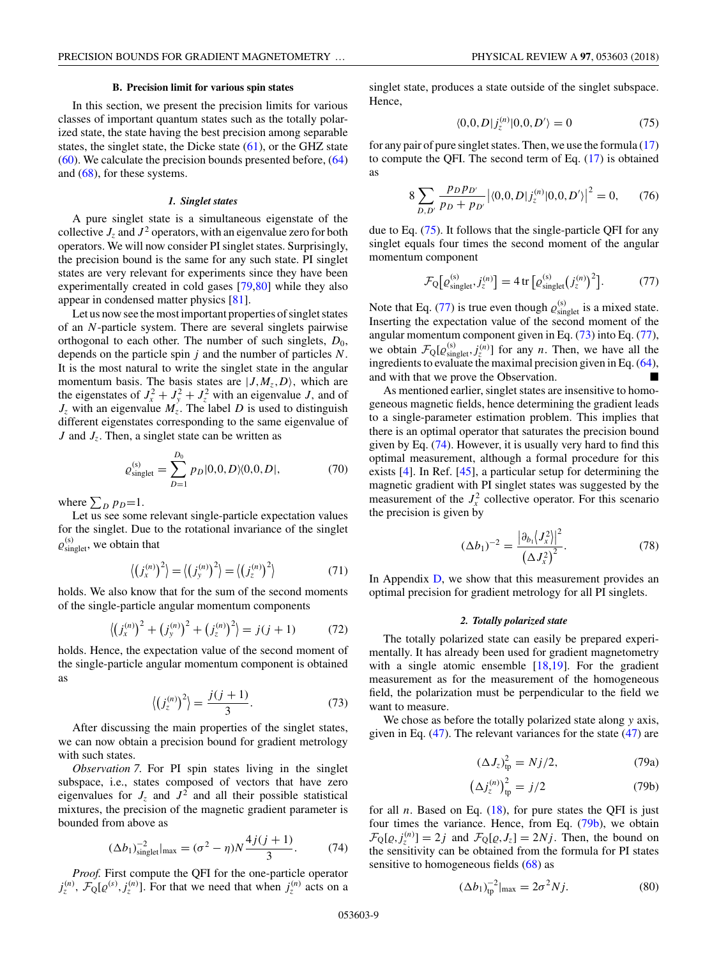#### **B. Precision limit for various spin states**

<span id="page-8-0"></span>In this section, we present the precision limits for various classes of important quantum states such as the totally polarized state, the state having the best precision among separable states, the singlet state, the Dicke state  $(61)$ , or the GHZ state  $(60)$ . We calculate the precision bounds presented before,  $(64)$ and [\(68\)](#page-7-0), for these systems.

### *1. Singlet states*

A pure singlet state is a simultaneous eigenstate of the collective  $J_z$  and  $J^2$  operators, with an eigenvalue zero for both operators. We will now consider PI singlet states. Surprisingly, the precision bound is the same for any such state. PI singlet states are very relevant for experiments since they have been experimentally created in cold gases [\[79,80\]](#page-16-0) while they also appear in condensed matter physics [\[81\]](#page-16-0).

Let us now see the most important properties of singlet states of an *N*-particle system. There are several singlets pairwise orthogonal to each other. The number of such singlets,  $D_0$ , depends on the particle spin *j* and the number of particles *N*. It is the most natural to write the singlet state in the angular momentum basis. The basis states are  $|J, M_z, D\rangle$ , which are the eigenstates of  $J_x^2 + J_y^2 + J_z^2$  with an eigenvalue *J*, and of  $J_z$  with an eigenvalue  $M_z$ . The label *D* is used to distinguish different eigenstates corresponding to the same eigenvalue of *J* and  $J_z$ . Then, a singlet state can be written as

$$
\varrho_{\text{singlet}}^{(s)} = \sum_{D=1}^{D_0} p_D |0, 0, D \rangle \langle 0, 0, D|,\tag{70}
$$

where  $\sum_{D} p_{D} = 1$ .

Let us see some relevant single-particle expectation values for the singlet. Due to the rotational invariance of the singlet  $\varrho_{singlet}^{(s)}$ , we obtain that

$$
\langle (j_x^{(n)})^2 \rangle = \langle (j_y^{(n)})^2 \rangle = \langle (j_z^{(n)})^2 \rangle \tag{71}
$$

holds. We also know that for the sum of the second moments of the single-particle angular momentum components

$$
\left\langle \left(j_x^{(n)}\right)^2 + \left(j_y^{(n)}\right)^2 + \left(j_z^{(n)}\right)^2 \right\rangle = j(j+1) \tag{72}
$$

holds. Hence, the expectation value of the second moment of the single-particle angular momentum component is obtained as

$$
\langle \left(j_z^{(n)}\right)^2 \rangle = \frac{j(j+1)}{3}.\tag{73}
$$

After discussing the main properties of the singlet states, we can now obtain a precision bound for gradient metrology with such states.

*Observation 7.* For PI spin states living in the singlet subspace, i.e., states composed of vectors that have zero eigenvalues for  $J<sub>z</sub>$  and  $J<sup>2</sup>$  and all their possible statistical mixtures, the precision of the magnetic gradient parameter is bounded from above as

$$
(\Delta b_1)_{\text{singlet}}^{-2}|_{\text{max}} = (\sigma^2 - \eta) N \frac{4j(j+1)}{3}.
$$
 (74)

*Proof.* First compute the QFI for the one-particle operator  $j_z^{(n)}$ ,  $\mathcal{F}_{\mathbb{Q}}[g^{(s)}, j_z^{(n)}]$ . For that we need that when  $j_z^{(n)}$  acts on a

singlet state, produces a state outside of the singlet subspace. Hence,

$$
\langle 0,0,D|j_z^{(n)}|0,0,D'\rangle = 0\tag{75}
$$

for any pair of pure singlet states. Then, we use the formula [\(17\)](#page-3-0) to compute the QFI. The second term of Eq. [\(17\)](#page-3-0) is obtained as

$$
8\sum_{D,D'}\frac{p_{D}p_{D'}}{p_{D}+p_{D'}} \big|\langle 0,0,D|j_{z}^{(n)}|0,0,D'\rangle\big|^2=0,\qquad(76)
$$

due to Eq. (75). It follows that the single-particle QFI for any singlet equals four times the second moment of the angular momentum component

$$
\mathcal{F}_{\mathbf{Q}}\big[\varrho_{\text{singlet}}^{(s)}, j_z^{(n)}\big] = 4 \operatorname{tr}\big[\varrho_{\text{singlet}}^{(s)} \big(j_z^{(n)}\big)^2\big].\tag{77}
$$

Note that Eq. (77) is true even though  $\varrho_{singlet}^{(s)}$  is a mixed state. Inserting the expectation value of the second moment of the angular momentum component given in Eq. (73) into Eq. (77), we obtain  $\mathcal{F}_{Q}[\varrho_{singlet}^{(s)}, j_{z}^{(n)}]$  for any *n*. Then, we have all the ingredients to evaluate the maximal precision given in Eq. [\(64\)](#page-7-0), and with that we prove the Observation.

As mentioned earlier, singlet states are insensitive to homogeneous magnetic fields, hence determining the gradient leads to a single-parameter estimation problem. This implies that there is an optimal operator that saturates the precision bound given by Eq. (74). However, it is usually very hard to find this optimal measurement, although a formal procedure for this exists [\[4\]](#page-14-0). In Ref. [\[45\]](#page-15-0), a particular setup for determining the magnetic gradient with PI singlet states was suggested by the measurement of the  $J_x^2$  collective operator. For this scenario the precision is given by

$$
(\Delta b_1)^{-2} = \frac{\left|\partial_{b_1} \langle J_x^2 \rangle\right|^2}{\left(\Delta J_x^2\right)^2}.
$$
 (78)

In Appendix [D,](#page-12-0) we show that this measurement provides an optimal precision for gradient metrology for all PI singlets.

### *2. Totally polarized state*

The totally polarized state can easily be prepared experimentally. It has already been used for gradient magnetometry with a single atomic ensemble  $[18,19]$ . For the gradient measurement as for the measurement of the homogeneous field, the polarization must be perpendicular to the field we want to measure.

We chose as before the totally polarized state along *y* axis, given in Eq. [\(47\)](#page-5-0). The relevant variances for the state [\(47\)](#page-5-0) are

$$
(\Delta J_z)_{\rm tp}^2 = Nj/2,\tag{79a}
$$

$$
\left(\Delta j_z^{(n)}\right)^2_{\text{tp}} = j/2 \tag{79b}
$$

for all *n*. Based on Eq.  $(18)$ , for pure states the QFI is just four times the variance. Hence, from Eq. (79b), we obtain  $\mathcal{F}_{Q}[\varrho, j_{z}^{(n)}] = 2j$  and  $\mathcal{F}_{Q}[\varrho, J_{z}] = 2Nj$ . Then, the bound on the sensitivity can be obtained from the formula for PI states sensitive to homogeneous fields [\(68\)](#page-7-0) as

$$
(\Delta b_1)_{\text{tp}}^{-2}|_{\text{max}} = 2\sigma^2 N j. \tag{80}
$$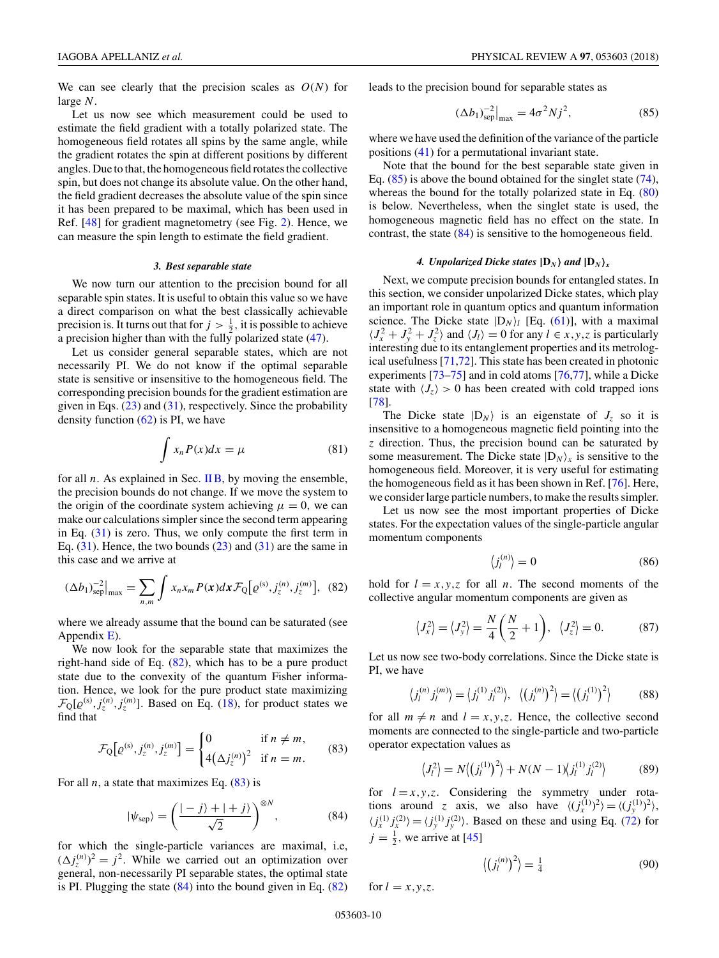<span id="page-9-0"></span>We can see clearly that the precision scales as  $O(N)$  for large *N*.

Let us now see which measurement could be used to estimate the field gradient with a totally polarized state. The homogeneous field rotates all spins by the same angle, while the gradient rotates the spin at different positions by different angles. Due to that, the homogeneous field rotates the collective spin, but does not change its absolute value. On the other hand, the field gradient decreases the absolute value of the spin since it has been prepared to be maximal, which has been used in Ref. [\[48\]](#page-15-0) for gradient magnetometry (see Fig. [2\)](#page-5-0). Hence, we can measure the spin length to estimate the field gradient.

### *3. Best separable state*

We now turn our attention to the precision bound for all separable spin states. It is useful to obtain this value so we have a direct comparison on what the best classically achievable precision is. It turns out that for  $j > \frac{1}{2}$ , it is possible to achieve a precision higher than with the fully polarized state [\(47\)](#page-5-0).

Let us consider general separable states, which are not necessarily PI. We do not know if the optimal separable state is sensitive or insensitive to the homogeneous field. The corresponding precision bounds for the gradient estimation are given in Eqs.  $(23)$  and  $(31)$ , respectively. Since the probability density function  $(62)$  is PI, we have

$$
\int x_n P(x) dx = \mu \tag{81}
$$

for all  $n$ . As explained in Sec. [II B,](#page-3-0) by moving the ensemble, the precision bounds do not change. If we move the system to the origin of the coordinate system achieving  $\mu = 0$ , we can make our calculations simpler since the second term appearing in Eq.  $(31)$  is zero. Thus, we only compute the first term in Eq.  $(31)$ . Hence, the two bounds  $(23)$  and  $(31)$  are the same in this case and we arrive at

$$
(\Delta b_1)_{\rm sep}^{-2}\Big|_{\rm max} = \sum_{n,m} \int x_n x_m P(\mathbf{x}) d\mathbf{x} \mathcal{F}_{\rm Q}[\varrho^{(s)}, j_z^{(n)}, j_z^{(m)}], \quad (82)
$$

where we already assume that the bound can be saturated (see Appendix [E\)](#page-13-0).

We now look for the separable state that maximizes the right-hand side of Eq. (82), which has to be a pure product state due to the convexity of the quantum Fisher information. Hence, we look for the pure product state maximizing  $\mathcal{F}_{Q}[\varrho^{(s)}, j_{z}^{(n)}, j_{z}^{(m)}]$ . Based on Eq. [\(18\)](#page-3-0), for product states we find that

$$
\mathcal{F}_{\mathbf{Q}}\big[\varrho^{(\mathrm{s})}, j_z^{(n)}, j_z^{(m)}\big] = \begin{cases} 0 & \text{if } n \neq m, \\ 4\big(\Delta j_z^{(n)}\big)^2 & \text{if } n = m. \end{cases} \tag{83}
$$

For all *n*, a state that maximizes Eq.  $(83)$  is

$$
|\psi_{\text{sep}}\rangle = \left(\frac{|-j\rangle + |+j\rangle}{\sqrt{2}}\right)^{\otimes N},\tag{84}
$$

for which the single-particle variances are maximal, i.e,  $(\Delta j_z^{(n)})^2 = j^2$ . While we carried out an optimization over general, non-necessarily PI separable states, the optimal state is PI. Plugging the state  $(84)$  into the bound given in Eq.  $(82)$  leads to the precision bound for separable states as

$$
(\Delta b_1)_{\rm sep}^{-2}\big|_{\rm max} = 4\sigma^2 N j^2,\tag{85}
$$

where we have used the definition of the variance of the particle positions [\(41\)](#page-4-0) for a permutational invariant state.

Note that the bound for the best separable state given in Eq.  $(85)$  is above the bound obtained for the singlet state  $(74)$ , whereas the bound for the totally polarized state in Eq. [\(80\)](#page-8-0) is below. Nevertheless, when the singlet state is used, the homogeneous magnetic field has no effect on the state. In contrast, the state (84) is sensitive to the homogeneous field.

# 4. Unpolarized Dicke states  $|D_N\rangle$  and  $|D_N\rangle_x$

Next, we compute precision bounds for entangled states. In this section, we consider unpolarized Dicke states, which play an important role in quantum optics and quantum information science. The Dicke state  $|D_N\rangle_l$  [Eq. [\(61\)](#page-6-0)], with a maximal  $\langle J_x^2 + J_y^2 + J_z^2 \rangle$  and  $\langle J_l \rangle = 0$  for any  $l \in x, y, z$  is particularly interesting due to its entanglement properties and its metrological usefulness [\[71,72\]](#page-16-0). This state has been created in photonic experiments [\[73–75\]](#page-16-0) and in cold atoms [\[76,77\]](#page-16-0), while a Dicke state with  $\langle J_z \rangle > 0$  has been created with cold trapped ions [\[78\]](#page-16-0).

The Dicke state  $|D_N\rangle$  is an eigenstate of  $J_z$  so it is insensitive to a homogeneous magnetic field pointing into the *z* direction. Thus, the precision bound can be saturated by some measurement. The Dicke state  $|D_N\rangle_x$  is sensitive to the homogeneous field. Moreover, it is very useful for estimating the homogeneous field as it has been shown in Ref. [\[76\]](#page-16-0). Here, we consider large particle numbers, to make the results simpler.

Let us now see the most important properties of Dicke states. For the expectation values of the single-particle angular momentum components

$$
\langle j_l^{(n)} \rangle = 0 \tag{86}
$$

hold for  $l = x, y, z$  for all *n*. The second moments of the collective angular momentum components are given as

$$
\langle J_x^2 \rangle = \langle J_y^2 \rangle = \frac{N}{4} \left( \frac{N}{2} + 1 \right), \quad \langle J_z^2 \rangle = 0. \tag{87}
$$

Let us now see two-body correlations. Since the Dicke state is PI, we have

$$
\langle j_l^{(n)} j_l^{(m)} \rangle = \langle j_l^{(1)} j_l^{(2)} \rangle, \ \ \langle (j_l^{(n)})^2 \rangle = \langle (j_l^{(1)})^2 \rangle \tag{88}
$$

for all  $m \neq n$  and  $l = x, y, z$ . Hence, the collective second moments are connected to the single-particle and two-particle operator expectation values as

$$
\langle J_l^2 \rangle = N \langle (j_l^{(1)})^2 \rangle + N(N-1) \langle j_l^{(1)} j_l^{(2)} \rangle \tag{89}
$$

for  $l = x, y, z$ . Considering the symmetry under rotations around *z* axis, we also have  $\langle (j_x^{(1)})^2 \rangle = \langle (j_y^{(1)})^2 \rangle$ ,  $\langle j_x^{(1)} j_x^{(2)} \rangle = \langle j_y^{(1)} j_y^{(2)} \rangle$ . Based on these and using Eq. [\(72\)](#page-8-0) for  $j = \frac{1}{2}$ , we arrive at [\[45\]](#page-15-0)

$$
\langle (j_l^{(n)})^2 \rangle = \frac{1}{4} \tag{90}
$$

for  $l = x, y, z$ .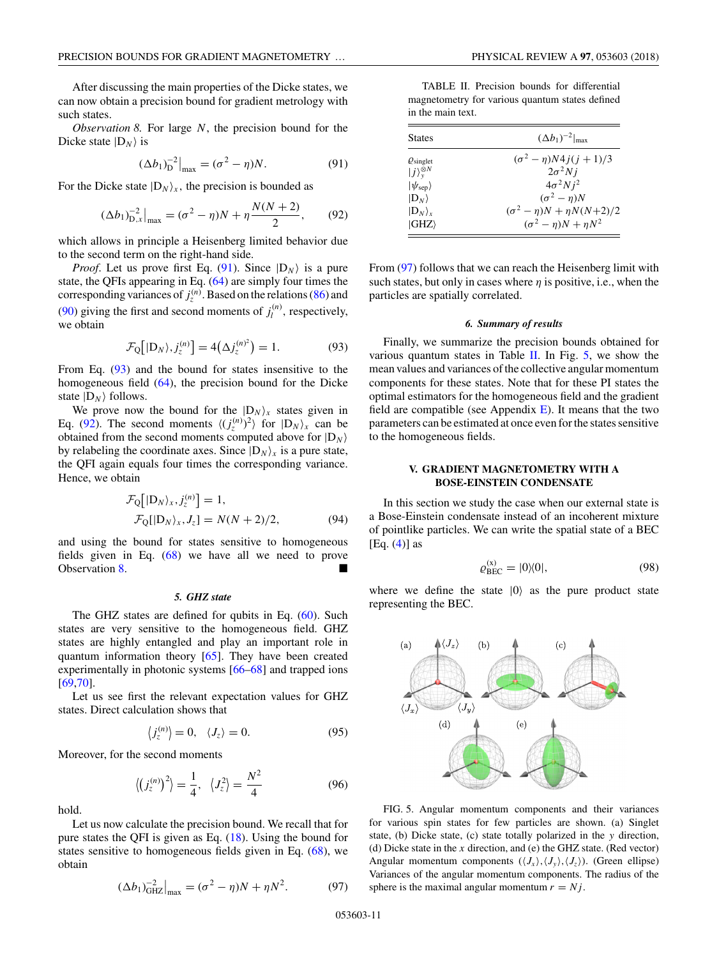<span id="page-10-0"></span>After discussing the main properties of the Dicke states, we can now obtain a precision bound for gradient metrology with such states.

*Observation 8.* For large *N*, the precision bound for the Dicke state  $|D_N\rangle$  is

$$
(\Delta b_1)^{-2}_{\mathcal{D}}\big|_{\max} = (\sigma^2 - \eta)N. \tag{91}
$$

For the Dicke state  $|D_N\rangle_x$ , the precision is bounded as

$$
(\Delta b_1)_{\text{D},x}^{-2}\big|_{\text{max}} = (\sigma^2 - \eta)N + \eta \frac{N(N+2)}{2},\qquad(92)
$$

which allows in principle a Heisenberg limited behavior due to the second term on the right-hand side.

*Proof.* Let us prove first Eq. (91). Since  $|D_N\rangle$  is a pure state, the QFIs appearing in Eq. [\(64\)](#page-7-0) are simply four times the corresponding variances of  $j_z^{(n)}$ . Based on the relations [\(86\)](#page-9-0) and [\(90\)](#page-9-0) giving the first and second moments of  $j_l^{(n)}$ , respectively, we obtain

$$
\mathcal{F}_{\mathbf{Q}}\big[|\mathbf{D}_{N}\rangle, j_{z}^{(n)}\big] = 4\big(\Delta j_{z}^{(n)^{2}}\big) = 1. \tag{93}
$$

From Eq. (93) and the bound for states insensitive to the homogeneous field [\(64\)](#page-7-0), the precision bound for the Dicke state  $|D_N\rangle$  follows.

We prove now the bound for the  $|D_N\rangle_x$  states given in Eq. (92). The second moments  $\langle (j_z^{(n)})^2 \rangle$  for  $|D_N\rangle_x$  can be obtained from the second moments computed above for  $|D_N\rangle$ by relabeling the coordinate axes. Since  $|D_N\rangle_x$  is a pure state, the QFI again equals four times the corresponding variance. Hence, we obtain

$$
\mathcal{F}_{Q} \big[ |D_{N} \rangle_{x}, j_{z}^{(n)} \big] = 1,
$$
  
\n
$$
\mathcal{F}_{Q} [|D_{N} \rangle_{x}, J_{z}] = N(N+2)/2,
$$
 (94)

and using the bound for states sensitive to homogeneous fields given in Eq. [\(68\)](#page-7-0) we have all we need to prove Observation 8.

## *5. GHZ state*

The GHZ states are defined for qubits in Eq. [\(60\)](#page-6-0). Such states are very sensitive to the homogeneous field. GHZ states are highly entangled and play an important role in quantum information theory [\[65\]](#page-15-0). They have been created experimentally in photonic systems [\[66–68\]](#page-15-0) and trapped ions [\[69,70\]](#page-16-0).

Let us see first the relevant expectation values for GHZ states. Direct calculation shows that

$$
\langle j_z^{(n)} \rangle = 0, \quad \langle J_z \rangle = 0. \tag{95}
$$

Moreover, for the second moments

$$
\langle \left(j_z^{(n)}\right)^2 \rangle = \frac{1}{4}, \quad \langle J_z^2 \rangle = \frac{N^2}{4} \tag{96}
$$

hold.

Let us now calculate the precision bound. We recall that for pure states the QFI is given as Eq. [\(18\)](#page-3-0). Using the bound for states sensitive to homogeneous fields given in Eq. [\(68\)](#page-7-0), we obtain

$$
(\Delta b_1)_{\text{GHZ}}^{-2}\big|_{\text{max}} = (\sigma^2 - \eta)N + \eta N^2. \tag{97}
$$

TABLE II. Precision bounds for differential magnetometry for various quantum states defined in the main text.

| <b>States</b>                                             | $(\Delta b_1)^{-2} _{\max}$                                             |  |
|-----------------------------------------------------------|-------------------------------------------------------------------------|--|
| $Q$ singlet                                               | $(\sigma^2 - \eta)N4i(i + 1)/3$                                         |  |
| $ j\rangle^{\otimes N}_{\nu}$<br>$ \psi_{\rm sep}\rangle$ | $2\sigma^2 Ni$<br>$4\sigma^2 N j^2$                                     |  |
| $ D_N\rangle$                                             | $(\sigma^2 - n)N$                                                       |  |
| $ D_N\rangle_{x}$<br>$ GHZ\rangle$                        | $(\sigma^2 - \eta)N + \eta N(N+2)/2$<br>$(\sigma^2 - \eta)N + \eta N^2$ |  |

From (97) follows that we can reach the Heisenberg limit with such states, but only in cases where  $\eta$  is positive, i.e., when the particles are spatially correlated.

### *6. Summary of results*

Finally, we summarize the precision bounds obtained for various quantum states in Table II. In Fig. 5, we show the mean values and variances of the collective angular momentum components for these states. Note that for these PI states the optimal estimators for the homogeneous field and the gradient field are compatible (see Appendix  $E$ ). It means that the two parameters can be estimated at once even for the states sensitive to the homogeneous fields.

## **V. GRADIENT MAGNETOMETRY WITH A BOSE-EINSTEIN CONDENSATE**

In this section we study the case when our external state is a Bose-Einstein condensate instead of an incoherent mixture of pointlike particles. We can write the spatial state of a BEC  $[Eq. (4)]$  $[Eq. (4)]$  $[Eq. (4)]$  as

$$
\varrho_{BEC}^{(x)} = |0\rangle\langle 0|,\tag{98}
$$

where we define the state  $|0\rangle$  as the pure product state representing the BEC.



FIG. 5. Angular momentum components and their variances for various spin states for few particles are shown. (a) Singlet state, (b) Dicke state, (c) state totally polarized in the *y* direction, (d) Dicke state in the *x* direction, and (e) the GHZ state. (Red vector) Angular momentum components  $(\langle J_x \rangle, \langle J_y \rangle, \langle J_z \rangle)$ . (Green ellipse) Variances of the angular momentum components. The radius of the sphere is the maximal angular momentum  $r = Nj$ .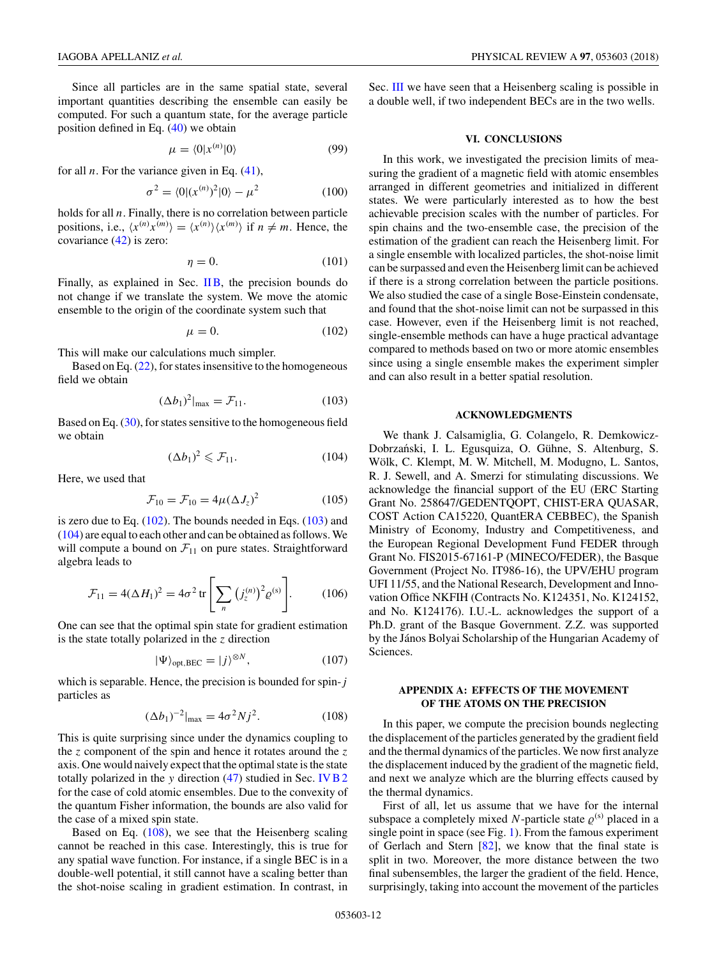<span id="page-11-0"></span>Since all particles are in the same spatial state, several important quantities describing the ensemble can easily be computed. For such a quantum state, for the average particle position defined in Eq. [\(40\)](#page-4-0) we obtain

$$
\mu = \langle 0 | x^{(n)} | 0 \rangle \tag{99}
$$

for all  $n$ . For the variance given in Eq.  $(41)$ ,

$$
\sigma^2 = \langle 0 | (x^{(n)})^2 | 0 \rangle - \mu^2 \tag{100}
$$

holds for all *n.* Finally, there is no correlation between particle positions, i.e.,  $\langle x^{(n)}x^{(m)} \rangle = \langle x^{(n)} \rangle \langle x^{(m)} \rangle$  if  $n \neq m$ . Hence, the covariance [\(42\)](#page-4-0) is zero:

$$
\eta = 0.\t(101)
$$

Finally, as explained in Sec.  $\overline{I} \overline{B}$ , the precision bounds do not change if we translate the system. We move the atomic ensemble to the origin of the coordinate system such that

$$
\mu = 0.\t(102)
$$

This will make our calculations much simpler.

Based on Eq.  $(22)$ , for states insensitive to the homogeneous field we obtain

$$
(\Delta b_1)^2|_{\text{max}} = \mathcal{F}_{11}.\tag{103}
$$

Based on Eq. [\(30\)](#page-4-0), for states sensitive to the homogeneous field we obtain

$$
(\Delta b_1)^2 \leqslant \mathcal{F}_{11}.\tag{104}
$$

Here, we used that

$$
\mathcal{F}_{10} = \mathcal{F}_{10} = 4\mu (\Delta J_z)^2 \tag{105}
$$

is zero due to Eq.  $(102)$ . The bounds needed in Eqs.  $(103)$  and (104) are equal to each other and can be obtained as follows. We will compute a bound on  $\mathcal{F}_{11}$  on pure states. Straightforward algebra leads to

$$
\mathcal{F}_{11} = 4(\Delta H_1)^2 = 4\sigma^2 \operatorname{tr} \left[ \sum_n \left( j_z^{(n)} \right)^2 \varrho^{(s)} \right]. \tag{106}
$$

One can see that the optimal spin state for gradient estimation is the state totally polarized in the *z* direction

$$
|\Psi\rangle_{\text{opt,BEC}} = |j\rangle^{\otimes N},\tag{107}
$$

which is separable. Hence, the precision is bounded for spin-*j* particles as

$$
(\Delta b_1)^{-2}|_{\text{max}} = 4\sigma^2 N j^2. \tag{108}
$$

This is quite surprising since under the dynamics coupling to the *z* component of the spin and hence it rotates around the *z* axis. One would naively expect that the optimal state is the state totally polarized in the *y* direction [\(47\)](#page-5-0) studied in Sec. [IV B 2](#page-8-0) for the case of cold atomic ensembles. Due to the convexity of the quantum Fisher information, the bounds are also valid for the case of a mixed spin state.

Based on Eq. (108), we see that the Heisenberg scaling cannot be reached in this case. Interestingly, this is true for any spatial wave function. For instance, if a single BEC is in a double-well potential, it still cannot have a scaling better than the shot-noise scaling in gradient estimation. In contrast, in Sec. [III](#page-4-0) we have seen that a Heisenberg scaling is possible in a double well, if two independent BECs are in the two wells.

### **VI. CONCLUSIONS**

In this work, we investigated the precision limits of measuring the gradient of a magnetic field with atomic ensembles arranged in different geometries and initialized in different states. We were particularly interested as to how the best achievable precision scales with the number of particles. For spin chains and the two-ensemble case, the precision of the estimation of the gradient can reach the Heisenberg limit. For a single ensemble with localized particles, the shot-noise limit can be surpassed and even the Heisenberg limit can be achieved if there is a strong correlation between the particle positions. We also studied the case of a single Bose-Einstein condensate, and found that the shot-noise limit can not be surpassed in this case. However, even if the Heisenberg limit is not reached, single-ensemble methods can have a huge practical advantage compared to methods based on two or more atomic ensembles since using a single ensemble makes the experiment simpler and can also result in a better spatial resolution.

### **ACKNOWLEDGMENTS**

We thank J. Calsamiglia, G. Colangelo, R. Demkowicz-Dobrzański, I. L. Egusquiza, O. Gühne, S. Altenburg, S. Wölk, C. Klempt, M. W. Mitchell, M. Modugno, L. Santos, R. J. Sewell, and A. Smerzi for stimulating discussions. We acknowledge the financial support of the EU (ERC Starting Grant No. 258647/GEDENTQOPT, CHIST-ERA QUASAR, COST Action CA15220, QuantERA CEBBEC), the Spanish Ministry of Economy, Industry and Competitiveness, and the European Regional Development Fund FEDER through Grant No. FIS2015-67161-P (MINECO/FEDER), the Basque Government (Project No. IT986-16), the UPV/EHU program UFI 11/55, and the National Research, Development and Innovation Office NKFIH (Contracts No. K124351, No. K124152, and No. K124176). I.U.-L. acknowledges the support of a Ph.D. grant of the Basque Government. Z.Z. was supported by the János Bolyai Scholarship of the Hungarian Academy of Sciences.

# **APPENDIX A: EFFECTS OF THE MOVEMENT OF THE ATOMS ON THE PRECISION**

In this paper, we compute the precision bounds neglecting the displacement of the particles generated by the gradient field and the thermal dynamics of the particles. We now first analyze the displacement induced by the gradient of the magnetic field, and next we analyze which are the blurring effects caused by the thermal dynamics.

First of all, let us assume that we have for the internal subspace a completely mixed  $N$ -particle state  $\varrho^{(s)}$  placed in a single point in space (see Fig. [1\)](#page-1-0). From the famous experiment of Gerlach and Stern [\[82\]](#page-16-0), we know that the final state is split in two. Moreover, the more distance between the two final subensembles, the larger the gradient of the field. Hence, surprisingly, taking into account the movement of the particles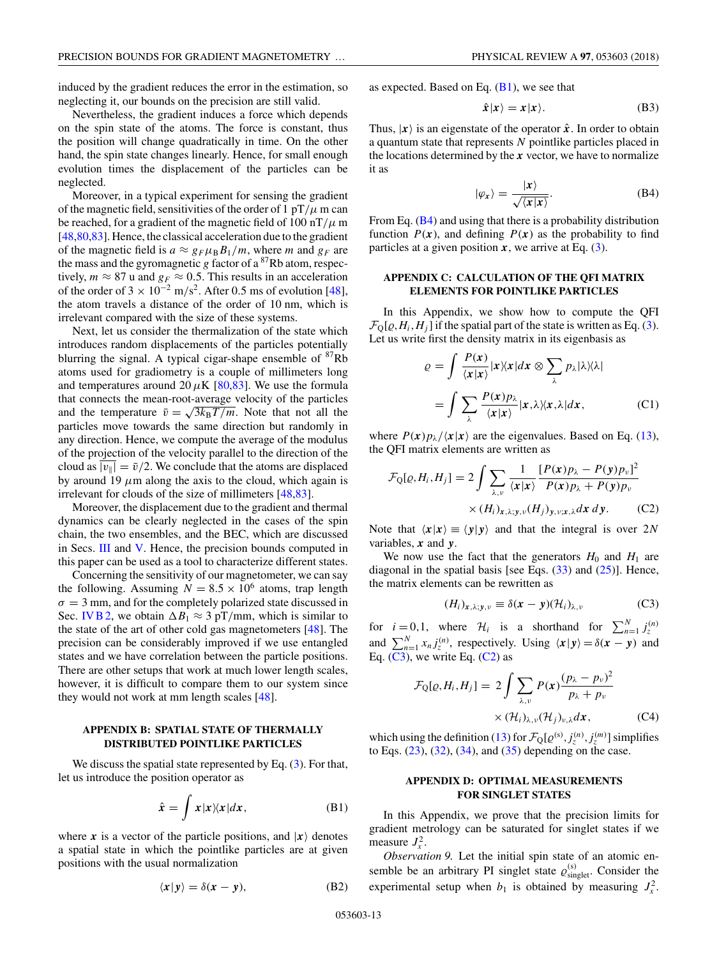<span id="page-12-0"></span>induced by the gradient reduces the error in the estimation, so neglecting it, our bounds on the precision are still valid.

Nevertheless, the gradient induces a force which depends on the spin state of the atoms. The force is constant, thus the position will change quadratically in time. On the other hand, the spin state changes linearly. Hence, for small enough evolution times the displacement of the particles can be neglected.

Moreover, in a typical experiment for sensing the gradient of the magnetic field, sensitivities of the order of 1  $pT/\mu$  m can be reached, for a gradient of the magnetic field of 100 nT*/μ* m [\[48](#page-15-0)[,80,83\]](#page-16-0). Hence, the classical acceleration due to the gradient of the magnetic field is  $a \approx g_F \mu_B B_1/m$ , where *m* and  $g_F$  are the mass and the gyromagnetic  $g$  factor of a  ${}^{87}$ Rb atom, respectively,  $m \approx 87$  u and  $g_F \approx 0.5$ . This results in an acceleration of the order of  $3 \times 10^{-2}$  m/s<sup>2</sup>. After 0.5 ms of evolution [\[48\]](#page-15-0), the atom travels a distance of the order of 10 nm, which is irrelevant compared with the size of these systems.

Next, let us consider the thermalization of the state which introduces random displacements of the particles potentially blurring the signal. A typical cigar-shape ensemble of  ${}^{87}Rb$ atoms used for gradiometry is a couple of millimeters long and temperatures around 20  $\mu$ K [\[80,83\]](#page-16-0). We use the formula that connects the mean-root-average velocity of the particles and the temperature  $\bar{v} = \sqrt{3k_B T/m}$ . Note that not all the particles move towards the same direction but randomly in any direction. Hence, we compute the average of the modulus of the projection of the velocity parallel to the direction of the cloud as  $|v_{\parallel}| = \bar{v}/2$ . We conclude that the atoms are displaced by around 19  $\mu$ m along the axis to the cloud, which again is irrelevant for clouds of the size of millimeters [\[48](#page-15-0)[,83\]](#page-16-0).

Moreover, the displacement due to the gradient and thermal dynamics can be clearly neglected in the cases of the spin chain, the two ensembles, and the BEC, which are discussed in Secs. [III](#page-4-0) and [V.](#page-10-0) Hence, the precision bounds computed in this paper can be used as a tool to characterize different states.

Concerning the sensitivity of our magnetometer, we can say the following. Assuming  $N = 8.5 \times 10^6$  atoms, trap length  $\sigma = 3$  mm, and for the completely polarized state discussed in Sec. [IV B 2,](#page-8-0) we obtain  $\Delta B_1 \approx 3 \text{ pT/mm}$ , which is similar to the state of the art of other cold gas magnetometers [\[48\]](#page-15-0). The precision can be considerably improved if we use entangled states and we have correlation between the particle positions. There are other setups that work at much lower length scales, however, it is difficult to compare them to our system since they would not work at mm length scales [\[48\]](#page-15-0).

## **APPENDIX B: SPATIAL STATE OF THERMALLY DISTRIBUTED POINTLIKE PARTICLES**

We discuss the spatial state represented by Eq. [\(3\)](#page-1-0). For that, let us introduce the position operator as

$$
\hat{x} = \int x |x\rangle\langle x| dx, \tag{B1}
$$

where *x* is a vector of the particle positions, and  $|x\rangle$  denotes a spatial state in which the pointlike particles are at given positions with the usual normalization

$$
\langle x|y\rangle = \delta(x-y),\tag{B2}
$$

as expected. Based on Eq.  $(B1)$ , we see that

$$
\hat{x}|x\rangle = x|x\rangle. \tag{B3}
$$

Thus,  $|x\rangle$  is an eigenstate of the operator  $\hat{x}$ . In order to obtain a quantum state that represents *N* pointlike particles placed in the locations determined by the *x* vector, we have to normalize it as

$$
|\varphi_x\rangle = \frac{|x\rangle}{\sqrt{\langle x|x\rangle}}.\tag{B4}
$$

From Eq. (B4) and using that there is a probability distribution function  $P(x)$ , and defining  $P(x)$  as the probability to find particles at a given position  $x$ , we arrive at Eq.  $(3)$ .

# **APPENDIX C: CALCULATION OF THE QFI MATRIX ELEMENTS FOR POINTLIKE PARTICLES**

In this Appendix, we show how to compute the QFI  $\mathcal{F}_{\mathcal{O}}[\varrho, H_i, H_j]$  if the spatial part of the state is written as Eq. [\(3\)](#page-1-0). Let us write first the density matrix in its eigenbasis as

$$
\varrho = \int \frac{P(x)}{\langle x | x \rangle} |x\rangle \langle x| dx \otimes \sum_{\lambda} p_{\lambda} |\lambda\rangle \langle \lambda|
$$

$$
= \int \sum_{\lambda} \frac{P(x) p_{\lambda}}{\langle x | x \rangle} |x, \lambda\rangle \langle x, \lambda| dx, \tag{C1}
$$

where  $P(x)p_{\lambda}/\langle x|x \rangle$  are the eigenvalues. Based on Eq. [\(13\)](#page-2-0), the QFI matrix elements are written as

$$
\mathcal{F}_{Q}[\varrho, H_{i}, H_{j}] = 2 \int \sum_{\lambda, \nu} \frac{1}{\langle \mathbf{x} | \mathbf{x} \rangle} \frac{[P(\mathbf{x})p_{\lambda} - P(\mathbf{y})p_{\nu}]^{2}}{P(\mathbf{x})p_{\lambda} + P(\mathbf{y})p_{\nu}} \times (H_{i})_{\mathbf{x}, \lambda; \mathbf{y}, \nu} (H_{j})_{\mathbf{y}, \nu; \mathbf{x}, \lambda} d\mathbf{x} d\mathbf{y}.
$$
 (C2)

Note that  $\langle x|x \rangle \equiv \langle y|y \rangle$  and that the integral is over 2*N* variables, *x* and *y*.

We now use the fact that the generators  $H_0$  and  $H_1$  are diagonal in the spatial basis [see Eqs.  $(33)$  and  $(25)$ ]. Hence, the matrix elements can be rewritten as

$$
(H_i)_{x,\lambda;y,\nu} \equiv \delta(x - y)(\mathcal{H}_i)_{\lambda,\nu} \tag{C3}
$$

for  $i = 0, 1$ , where  $\mathcal{H}_i$  is a shorthand for  $\sum_{n=1}^{N} j_z^{(n)}$ and  $\sum_{n=1}^{N} x_n j_z^{(n)}$ , respectively. Using  $\langle x | y \rangle = \delta(x - y)$  and Eq.  $(C3)$ , we write Eq.  $(C2)$  as

$$
\mathcal{F}_{Q}[\varrho, H_{i}, H_{j}] = 2 \int \sum_{\lambda, \nu} P(\mathbf{x}) \frac{(p_{\lambda} - p_{\nu})^{2}}{p_{\lambda} + p_{\nu}} \times (\mathcal{H}_{i})_{\lambda, \nu} (\mathcal{H}_{j})_{\nu, \lambda} d\mathbf{x},
$$
 (C4)

which using the definition [\(13\)](#page-2-0) for  $\mathcal{F}_{Q}[\varrho^{(s)}, j_{7}^{(n)}, j_{7}^{(m)}]$  simplifies to Eqs. [\(23\)](#page-3-0), [\(32\)](#page-4-0), [\(34\)](#page-4-0), and [\(35\)](#page-4-0) depending on the case.

### **APPENDIX D: OPTIMAL MEASUREMENTS FOR SINGLET STATES**

In this Appendix, we prove that the precision limits for gradient metrology can be saturated for singlet states if we measure  $J_x^2$ .

*Observation 9.* Let the initial spin state of an atomic ensemble be an arbitrary PI singlet state  $\varrho_{singlet}^{(s)}$ . Consider the experimental setup when  $b_1$  is obtained by measuring  $J_x^2$ .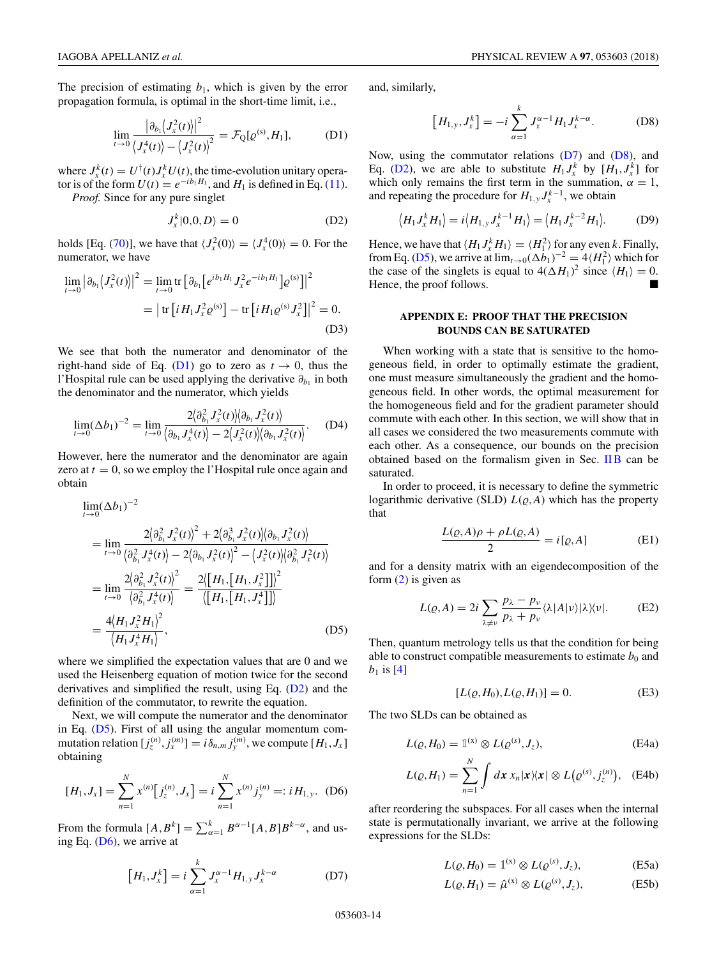<span id="page-13-0"></span>The precision of estimating  $b_1$ , which is given by the error propagation formula, is optimal in the short-time limit, i.e.,

$$
\lim_{t \to 0} \frac{\left| \partial_{b_1} \langle J_x^2(t) \rangle \right|^2}{\left\langle J_x^4(t) \right\rangle - \left\langle J_x^2(t) \right\rangle^2} = \mathcal{F}_{\mathbb{Q}}[g^{(s)}, H_1],\tag{D1}
$$

where  $J_x^k(t) = U^{\dagger}(t)J_x^kU(t)$ , the time-evolution unitary operator is of the form  $U(t) = e^{-ib_1H_1}$ , and  $H_1$  is defined in Eq. [\(11\)](#page-2-0).

*Proof.* Since for any pure singlet

$$
J_x^k|0,0,D\rangle = 0
$$
 (D2)

holds [Eq. [\(70\)](#page-8-0)], we have that  $\langle J_x^2(0) \rangle = \langle J_x^4(0) \rangle = 0$ . For the numerator, we have

$$
\lim_{t \to 0} |\partial_{b_1} (J_x^2(t))|^2 = \lim_{t \to 0} \text{tr} \left[ \partial_{b_1} \left[ e^{ib_1 H_1} J_x^2 e^{-ib_1 H_1} \right] \varrho^{(s)} \right]^2
$$
\n
$$
= \left| \text{tr} \left[ i H_1 J_x^2 \varrho^{(s)} \right] - \text{tr} \left[ i H_1 \varrho^{(s)} J_x^2 \right] \right|^2 = 0.
$$
\n(D3)

We see that both the numerator and denominator of the right-hand side of Eq. (D1) go to zero as  $t \to 0$ , thus the l'Hospital rule can be used applying the derivative *∂<sub>b*1</sub> in both the denominator and the numerator, which yields

$$
\lim_{t \to 0} (\Delta b_1)^{-2} = \lim_{t \to 0} \frac{2 \langle \partial_{b_1}^2 J_x^2(t) \rangle \langle \partial_{b_1} J_x^2(t) \rangle}{\langle \partial_{b_1} J_x^4(t) \rangle - 2 \langle J_x^2(t) \rangle \langle \partial_{b_1} J_x^2(t) \rangle}.
$$
 (D4)

However, here the numerator and the denominator are again zero at  $t = 0$ , so we employ the l'Hospital rule once again and obtain

$$
\lim_{t \to 0} (\Delta b_1)^{-2}
$$
\n
$$
= \lim_{t \to 0} \frac{2(\partial_{b_1}^2 J_x^2(t))^2 + 2(\partial_{b_1}^3 J_x^2(t)) \langle \partial_{b_1} J_x^2(t) \rangle}{\langle \partial_{b_1}^2 J_x^4(t) \rangle - 2(\partial_{b_1} J_x^2(t))^2 - \langle J_x^2(t) \rangle \langle \partial_{b_1}^2 J_x^2(t) \rangle}
$$
\n
$$
= \lim_{t \to 0} \frac{2(\partial_{b_1}^2 J_x^2(t))^2}{\langle \partial_{b_1}^2 J_x^4(t) \rangle} = \frac{2\langle [H_1, [H_1, J_x^2]] \rangle^2}{\langle [H_1, [H_1, J_x^4]] \rangle}
$$
\n
$$
= \frac{4\langle H_1 J_x^2 H_1 \rangle^2}{\langle H_1 J_x^4 H_1 \rangle}, \tag{D5}
$$

where we simplified the expectation values that are 0 and we used the Heisenberg equation of motion twice for the second derivatives and simplified the result, using Eq. (D2) and the definition of the commutator, to rewrite the equation.

Next, we will compute the numerator and the denominator in Eq. (D5). First of all using the angular momentum commutation relation  $[j_z^{(n)}, j_x^{(m)}] = i \delta_{n,m} j_y^{(m)}$ , we compute  $[H_1, J_x]$ obtaining

$$
[H_1, J_x] = \sum_{n=1}^{N} x^{(n)} [j_z^{(n)}, J_x] = i \sum_{n=1}^{N} x^{(n)} j_y^{(n)} =: i H_{1,y}.
$$
 (D6)

From the formula  $[A, B^k] = \sum_{\alpha=1}^k B^{\alpha-1}[A, B]B^{k-\alpha}$ , and using Eq.  $(D6)$ , we arrive at

$$
[H_1, J_x^k] = i \sum_{\alpha=1}^k J_x^{\alpha-1} H_{1,y} J_x^{k-\alpha}
$$
 (D7)

and, similarly,

$$
[H_{1,y}, J_x^k] = -i \sum_{\alpha=1}^k J_x^{\alpha-1} H_1 J_x^{k-\alpha}.
$$
 (D8)

Now, using the commutator relations  $(D7)$  and  $(D8)$ , and Eq. (D2), we are able to substitute  $H_1 J_x^k$  by  $[H_1, J_x^k]$  for which only remains the first term in the summation,  $\alpha = 1$ , and repeating the procedure for  $H_{1,y}J_x^{k-1}$ , we obtain

$$
\langle H_1 J_x^k H_1 \rangle = i \langle H_{1,y} J_x^{k-1} H_1 \rangle = \langle H_1 J_x^{k-2} H_1 \rangle. \tag{D9}
$$

Hence, we have that  $\langle H_1 J_x^k H_1 \rangle = \langle H_1^2 \rangle$  for any even *k*. Finally, from Eq. (D5), we arrive at  $\lim_{t\to 0} (\Delta b_1)^{-2} = 4 \langle H_1^2 \rangle$  which for the case of the singlets is equal to  $4(\Delta H_1)^2$  since  $\langle H_1 \rangle = 0$ . Hence, the proof follows.

# **APPENDIX E: PROOF THAT THE PRECISION BOUNDS CAN BE SATURATED**

When working with a state that is sensitive to the homogeneous field, in order to optimally estimate the gradient, one must measure simultaneously the gradient and the homogeneous field. In other words, the optimal measurement for the homogeneous field and for the gradient parameter should commute with each other. In this section, we will show that in all cases we considered the two measurements commute with each other. As a consequence, our bounds on the precision obtained based on the formalism given in Sec. IIB can be saturated.

In order to proceed, it is necessary to define the symmetric logarithmic derivative (SLD)  $L(\varrho, A)$  which has the property that

$$
\frac{L(\varrho, A)\rho + \rho L(\varrho, A)}{2} = i[\varrho, A] \tag{E1}
$$

and for a density matrix with an eigendecomposition of the form  $(2)$  is given as

$$
L(\varrho, A) = 2i \sum_{\lambda \neq \nu} \frac{p_{\lambda} - p_{\nu}}{p_{\lambda} + p_{\nu}} \langle \lambda | A | \nu \rangle | \lambda \rangle \langle \nu |.
$$
 (E2)

Then, quantum metrology tells us that the condition for being able to construct compatible measurements to estimate  $b_0$  and  $b_1$  is [\[4\]](#page-14-0)

$$
[L(\varrho, H_0), L(\varrho, H_1)] = 0.
$$
 (E3)

The two SLDs can be obtained as

$$
L(\varrho, H_0) = \mathbb{1}^{(x)} \otimes L(\varrho^{(s)}, J_z),
$$
 (E4a)

$$
L(\varrho, H_1) = \sum_{n=1}^N \int dx \, x_n |x\rangle\langle x| \otimes L(\varrho^{(s)}, j_z^{(n)}), \quad \text{(E4b)}
$$

after reordering the subspaces. For all cases when the internal state is permutationally invariant, we arrive at the following expressions for the SLDs:

$$
L(\varrho, H_0) = \mathbb{1}^{(x)} \otimes L(\varrho^{(s)}, J_z), \tag{E5a}
$$

$$
L(\varrho, H_1) = \hat{\mu}^{(x)} \otimes L(\varrho^{(s)}, J_z), \tag{E5b}
$$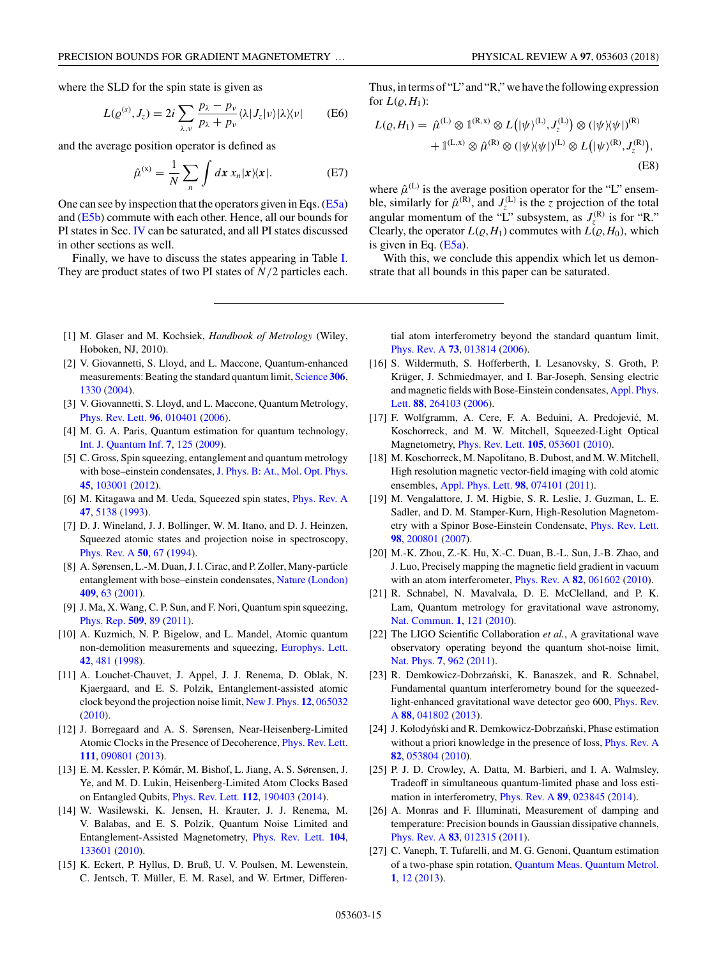<span id="page-14-0"></span>where the SLD for the spin state is given as

$$
L(\varrho^{(s)}, J_z) = 2i \sum_{\lambda, \nu} \frac{p_\lambda - p_\nu}{p_\lambda + p_\nu} \langle \lambda | J_z | \nu \rangle |\lambda \rangle \langle \nu| \qquad (E6)
$$

and the average position operator is defined as

$$
\hat{\mu}^{(x)} = \frac{1}{N} \sum_{n} \int dx \, x_n |x\rangle\langle x|.
$$
 (E7)

One can see by inspection that the operators given in Eqs.  $(E5a)$ and [\(E5b\)](#page-13-0) commute with each other. Hence, all our bounds for PI states in Sec. [IV](#page-6-0) can be saturated, and all PI states discussed in other sections as well.

Finally, we have to discuss the states appearing in Table [I.](#page-6-0) They are product states of two PI states of *N/*2 particles each.

- [1] M. Glaser and M. Kochsiek, *Handbook of Metrology* (Wiley, Hoboken, NJ, 2010).
- [2] V. Giovannetti, S. Lloyd, and L. Maccone, Quantum-enhanced measurements: Beating the standard quantum limit, [Science](https://doi.org/10.1126/science.1104149) **[306](https://doi.org/10.1126/science.1104149)**, [1330](https://doi.org/10.1126/science.1104149) [\(2004\)](https://doi.org/10.1126/science.1104149).
- [3] V. Giovannetti, S. Lloyd, and L. Maccone, Quantum Metrology, [Phys. Rev. Lett.](https://doi.org/10.1103/PhysRevLett.96.010401) **[96](https://doi.org/10.1103/PhysRevLett.96.010401)**, [010401](https://doi.org/10.1103/PhysRevLett.96.010401) [\(2006\)](https://doi.org/10.1103/PhysRevLett.96.010401).
- [4] M. G. A. Paris, Quantum estimation for quantum technology, [Int. J. Quantum Inf.](https://doi.org/10.1142/S0219749909004839) **[7](https://doi.org/10.1142/S0219749909004839)**, [125](https://doi.org/10.1142/S0219749909004839) [\(2009\)](https://doi.org/10.1142/S0219749909004839).
- [5] C. Gross, Spin squeezing, entanglement and quantum metrology with bose–einstein condensates, [J. Phys. B: At., Mol. Opt. Phys.](https://doi.org/10.1088/0953-4075/45/10/103001) **[45](https://doi.org/10.1088/0953-4075/45/10/103001)**, [103001](https://doi.org/10.1088/0953-4075/45/10/103001) [\(2012\)](https://doi.org/10.1088/0953-4075/45/10/103001).
- [6] M. Kitagawa and M. Ueda, Squeezed spin states, [Phys. Rev. A](https://doi.org/10.1103/PhysRevA.47.5138) **[47](https://doi.org/10.1103/PhysRevA.47.5138)**, [5138](https://doi.org/10.1103/PhysRevA.47.5138) [\(1993\)](https://doi.org/10.1103/PhysRevA.47.5138).
- [7] D. J. Wineland, J. J. Bollinger, W. M. Itano, and D. J. Heinzen, Squeezed atomic states and projection noise in spectroscopy, [Phys. Rev. A](https://doi.org/10.1103/PhysRevA.50.67) **[50](https://doi.org/10.1103/PhysRevA.50.67)**, [67](https://doi.org/10.1103/PhysRevA.50.67) [\(1994\)](https://doi.org/10.1103/PhysRevA.50.67).
- [8] A. Sørensen, L.-M. Duan, J. I. Cirac, and P. Zoller, Many-particle entanglement with bose–einstein condensates, [Nature \(London\)](https://doi.org/10.1038/35051038) **[409](https://doi.org/10.1038/35051038)**, [63](https://doi.org/10.1038/35051038) [\(2001\)](https://doi.org/10.1038/35051038).
- [9] J. Ma, X. Wang, C. P. Sun, and F. Nori, Quantum spin squeezing, [Phys. Rep.](https://doi.org/10.1016/j.physrep.2011.08.003) **[509](https://doi.org/10.1016/j.physrep.2011.08.003)**, [89](https://doi.org/10.1016/j.physrep.2011.08.003) [\(2011\)](https://doi.org/10.1016/j.physrep.2011.08.003).
- [10] A. Kuzmich, N. P. Bigelow, and L. Mandel, Atomic quantum non-demolition measurements and squeezing, [Europhys. Lett.](https://doi.org/10.1209/epl/i1998-00277-9) **[42](https://doi.org/10.1209/epl/i1998-00277-9)**, [481](https://doi.org/10.1209/epl/i1998-00277-9) [\(1998\)](https://doi.org/10.1209/epl/i1998-00277-9).
- [11] A. Louchet-Chauvet, J. Appel, J. J. Renema, D. Oblak, N. Kjaergaard, and E. S. Polzik, Entanglement-assisted atomic clock beyond the projection noise limit, [New J. Phys.](https://doi.org/10.1088/1367-2630/12/6/065032) **[12](https://doi.org/10.1088/1367-2630/12/6/065032)**, [065032](https://doi.org/10.1088/1367-2630/12/6/065032) [\(2010\)](https://doi.org/10.1088/1367-2630/12/6/065032).
- [12] J. Borregaard and A. S. Sørensen, Near-Heisenberg-Limited Atomic Clocks in the Presence of Decoherence, [Phys. Rev. Lett.](https://doi.org/10.1103/PhysRevLett.111.090801) **[111](https://doi.org/10.1103/PhysRevLett.111.090801)**, [090801](https://doi.org/10.1103/PhysRevLett.111.090801) [\(2013\)](https://doi.org/10.1103/PhysRevLett.111.090801).
- [13] E. M. Kessler, P. Kómár, M. Bishof, L. Jiang, A. S. Sørensen, J. Ye, and M. D. Lukin, Heisenberg-Limited Atom Clocks Based on Entangled Qubits, [Phys. Rev. Lett.](https://doi.org/10.1103/PhysRevLett.112.190403) **[112](https://doi.org/10.1103/PhysRevLett.112.190403)**, [190403](https://doi.org/10.1103/PhysRevLett.112.190403) [\(2014\)](https://doi.org/10.1103/PhysRevLett.112.190403).
- [14] W. Wasilewski, K. Jensen, H. Krauter, J. J. Renema, M. V. Balabas, and E. S. Polzik, Quantum Noise Limited and Entanglement-Assisted Magnetometry, [Phys. Rev. Lett.](https://doi.org/10.1103/PhysRevLett.104.133601) **[104](https://doi.org/10.1103/PhysRevLett.104.133601)**, [133601](https://doi.org/10.1103/PhysRevLett.104.133601) [\(2010\)](https://doi.org/10.1103/PhysRevLett.104.133601).
- [15] K. Eckert, P. Hyllus, D. Bruß, U. V. Poulsen, M. Lewenstein, C. Jentsch, T. Müller, E. M. Rasel, and W. Ertmer, Differen-

Thus, in terms of "L" and "R," we have the following expression for  $L(\varrho, H_1)$ :

$$
L(\varrho, H_1) = \hat{\mu}^{(\mathrm{L})} \otimes \mathbb{1}^{(\mathrm{R}, \mathrm{x})} \otimes L(|\psi\rangle^{(\mathrm{L})}, J_z^{(\mathrm{L})}) \otimes (|\psi\rangle\langle\psi|)^{(\mathrm{R})} + \mathbb{1}^{(\mathrm{L}, \mathrm{x})} \otimes \hat{\mu}^{(\mathrm{R})} \otimes (|\psi\rangle\langle\psi|)^{(\mathrm{L})} \otimes L(|\psi\rangle^{(\mathrm{R})}, J_z^{(\mathrm{R})}),
$$
(E8)

where  $\hat{\mu}^{(L)}$  is the average position operator for the "L" ensemble, similarly for  $\hat{\mu}^{(R)}$ , and  $J_z^{(L)}$  is the *z* projection of the total angular momentum of the "L" subsystem, as  $J_z^{(R)}$  is for "R." Clearly, the operator  $L(\varrho, H_1)$  commutes with  $L(\varrho, H_0)$ , which is given in Eq.  $(E5a)$ .

With this, we conclude this appendix which let us demonstrate that all bounds in this paper can be saturated.

tial atom interferometry beyond the standard quantum limit, [Phys. Rev. A](https://doi.org/10.1103/PhysRevA.73.013814) **[73](https://doi.org/10.1103/PhysRevA.73.013814)**, [013814](https://doi.org/10.1103/PhysRevA.73.013814) [\(2006\)](https://doi.org/10.1103/PhysRevA.73.013814).

- [16] S. Wildermuth, S. Hofferberth, I. Lesanovsky, S. Groth, P. Krüger, J. Schmiedmayer, and I. Bar-Joseph, Sensing electric [and magnetic fields with Bose-Einstein condensates,](https://doi.org/10.1063/1.2216932) Appl. Phys. Lett. **[88](https://doi.org/10.1063/1.2216932)**, [264103](https://doi.org/10.1063/1.2216932) [\(2006\)](https://doi.org/10.1063/1.2216932).
- [17] F. Wolfgramm, A. Cere, F. A. Beduini, A. Predojević, M. Koschorreck, and M. W. Mitchell, Squeezed-Light Optical Magnetometry, [Phys. Rev. Lett.](https://doi.org/10.1103/PhysRevLett.105.053601) **[105](https://doi.org/10.1103/PhysRevLett.105.053601)**, [053601](https://doi.org/10.1103/PhysRevLett.105.053601) [\(2010\)](https://doi.org/10.1103/PhysRevLett.105.053601).
- [18] M. Koschorreck, M. Napolitano, B. Dubost, and M. W. Mitchell, High resolution magnetic vector-field imaging with cold atomic ensembles, [Appl. Phys. Lett.](https://doi.org/10.1063/1.3555459) **[98](https://doi.org/10.1063/1.3555459)**, [074101](https://doi.org/10.1063/1.3555459) [\(2011\)](https://doi.org/10.1063/1.3555459).
- [19] M. Vengalattore, J. M. Higbie, S. R. Leslie, J. Guzman, L. E. Sadler, and D. M. Stamper-Kurn, High-Resolution Magnetometry with a Spinor Bose-Einstein Condensate, [Phys. Rev. Lett.](https://doi.org/10.1103/PhysRevLett.98.200801) **[98](https://doi.org/10.1103/PhysRevLett.98.200801)**, [200801](https://doi.org/10.1103/PhysRevLett.98.200801) [\(2007\)](https://doi.org/10.1103/PhysRevLett.98.200801).
- [20] M.-K. Zhou, Z.-K. Hu, X.-C. Duan, B.-L. Sun, J.-B. Zhao, and J. Luo, Precisely mapping the magnetic field gradient in vacuum with an atom interferometer, [Phys. Rev. A](https://doi.org/10.1103/PhysRevA.82.061602) **[82](https://doi.org/10.1103/PhysRevA.82.061602)**, [061602](https://doi.org/10.1103/PhysRevA.82.061602) [\(2010\)](https://doi.org/10.1103/PhysRevA.82.061602).
- [21] R. Schnabel, N. Mavalvala, D. E. McClelland, and P. K. Lam, Quantum metrology for gravitational wave astronomy, [Nat. Commun.](https://doi.org/10.1038/ncomms1122) **[1](https://doi.org/10.1038/ncomms1122)**, [121](https://doi.org/10.1038/ncomms1122) [\(2010\)](https://doi.org/10.1038/ncomms1122).
- [22] The LIGO Scientific Collaboration *et al.*, A gravitational wave observatory operating beyond the quantum shot-noise limit, [Nat. Phys.](https://doi.org/10.1038/nphys2083) **[7](https://doi.org/10.1038/nphys2083)**, [962](https://doi.org/10.1038/nphys2083) [\(2011\)](https://doi.org/10.1038/nphys2083).
- [23] R. Demkowicz-Dobrzański, K. Banaszek, and R. Schnabel, Fundamental quantum interferometry bound for the squeezed[light-enhanced gravitational wave detector geo 600,](https://doi.org/10.1103/PhysRevA.88.041802) Phys. Rev. A **[88](https://doi.org/10.1103/PhysRevA.88.041802)**, [041802](https://doi.org/10.1103/PhysRevA.88.041802) [\(2013\)](https://doi.org/10.1103/PhysRevA.88.041802).
- [24] J. Kołodyński and R. Demkowicz-Dobrzański, Phase estimation without a priori knowledge in the presence of loss, [Phys. Rev. A](https://doi.org/10.1103/PhysRevA.82.053804) **[82](https://doi.org/10.1103/PhysRevA.82.053804)**, [053804](https://doi.org/10.1103/PhysRevA.82.053804) [\(2010\)](https://doi.org/10.1103/PhysRevA.82.053804).
- [25] P. J. D. Crowley, A. Datta, M. Barbieri, and I. A. Walmsley, Tradeoff in simultaneous quantum-limited phase and loss estimation in interferometry, [Phys. Rev. A](https://doi.org/10.1103/PhysRevA.89.023845) **[89](https://doi.org/10.1103/PhysRevA.89.023845)**, [023845](https://doi.org/10.1103/PhysRevA.89.023845) [\(2014\)](https://doi.org/10.1103/PhysRevA.89.023845).
- [26] A. Monras and F. Illuminati, Measurement of damping and temperature: Precision bounds in Gaussian dissipative channels, [Phys. Rev. A](https://doi.org/10.1103/PhysRevA.83.012315) **[83](https://doi.org/10.1103/PhysRevA.83.012315)**, [012315](https://doi.org/10.1103/PhysRevA.83.012315) [\(2011\)](https://doi.org/10.1103/PhysRevA.83.012315).
- [27] C. Vaneph, T. Tufarelli, and M. G. Genoni, Quantum estimation of a two-phase spin rotation, [Quantum Meas. Quantum Metrol.](https://doi.org/10.2478/qmetro-2013-0003) **[1](https://doi.org/10.2478/qmetro-2013-0003)**, [12](https://doi.org/10.2478/qmetro-2013-0003) [\(2013\)](https://doi.org/10.2478/qmetro-2013-0003).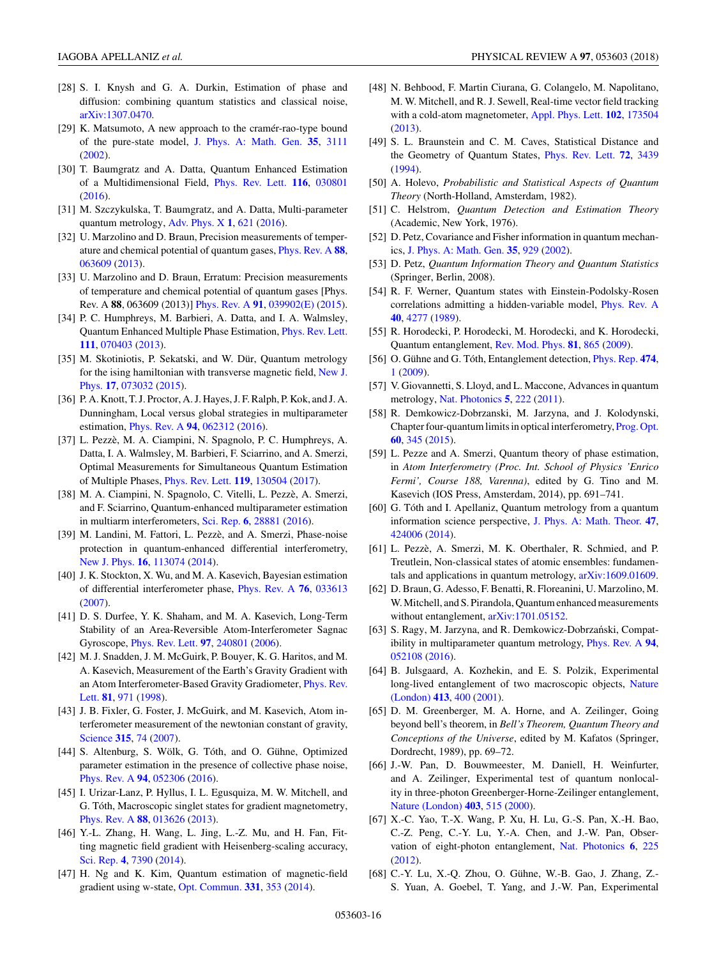- <span id="page-15-0"></span>[28] S. I. Knysh and G. A. Durkin, Estimation of phase and diffusion: combining quantum statistics and classical noise, [arXiv:1307.0470.](http://arxiv.org/abs/arXiv:1307.0470)
- [29] K. Matsumoto, A new approach to the cramér-rao-type bound of the pure-state model, [J. Phys. A: Math. Gen.](https://doi.org/10.1088/0305-4470/35/13/307) **[35](https://doi.org/10.1088/0305-4470/35/13/307)**, [3111](https://doi.org/10.1088/0305-4470/35/13/307) [\(2002\)](https://doi.org/10.1088/0305-4470/35/13/307).
- [30] T. Baumgratz and A. Datta, Quantum Enhanced Estimation of a Multidimensional Field, [Phys. Rev. Lett.](https://doi.org/10.1103/PhysRevLett.116.030801) **[116](https://doi.org/10.1103/PhysRevLett.116.030801)**, [030801](https://doi.org/10.1103/PhysRevLett.116.030801) [\(2016\)](https://doi.org/10.1103/PhysRevLett.116.030801).
- [31] M. Szczykulska, T. Baumgratz, and A. Datta, Multi-parameter quantum metrology, [Adv. Phys. X](https://doi.org/10.1080/23746149.2016.1230476) **[1](https://doi.org/10.1080/23746149.2016.1230476)**, [621](https://doi.org/10.1080/23746149.2016.1230476) [\(2016\)](https://doi.org/10.1080/23746149.2016.1230476).
- [32] U. Marzolino and D. Braun, Precision measurements of temperature and chemical potential of quantum gases, [Phys. Rev. A](https://doi.org/10.1103/PhysRevA.88.063609) **[88](https://doi.org/10.1103/PhysRevA.88.063609)**, [063609](https://doi.org/10.1103/PhysRevA.88.063609) [\(2013\)](https://doi.org/10.1103/PhysRevA.88.063609).
- [33] U. Marzolino and D. Braun, Erratum: Precision measurements of temperature and chemical potential of quantum gases [Phys. Rev. A **88**, 063609 (2013)] [Phys. Rev. A](https://doi.org/10.1103/PhysRevA.91.039902) **[91](https://doi.org/10.1103/PhysRevA.91.039902)**, [039902\(E\)](https://doi.org/10.1103/PhysRevA.91.039902) [\(2015\)](https://doi.org/10.1103/PhysRevA.91.039902).
- [34] P. C. Humphreys, M. Barbieri, A. Datta, and I. A. Walmsley, Quantum Enhanced Multiple Phase Estimation, [Phys. Rev. Lett.](https://doi.org/10.1103/PhysRevLett.111.070403) **[111](https://doi.org/10.1103/PhysRevLett.111.070403)**, [070403](https://doi.org/10.1103/PhysRevLett.111.070403) [\(2013\)](https://doi.org/10.1103/PhysRevLett.111.070403).
- [35] M. Skotiniotis, P. Sekatski, and W. Dür, Quantum metrology [for the ising hamiltonian with transverse magnetic field,](https://doi.org/10.1088/1367-2630/17/7/073032) New J. Phys. **[17](https://doi.org/10.1088/1367-2630/17/7/073032)**, [073032](https://doi.org/10.1088/1367-2630/17/7/073032) [\(2015\)](https://doi.org/10.1088/1367-2630/17/7/073032).
- [36] P. A. Knott, T. J. Proctor, A. J. Hayes, J. F. Ralph, P. Kok, and J. A. Dunningham, Local versus global strategies in multiparameter estimation, [Phys. Rev. A](https://doi.org/10.1103/PhysRevA.94.062312) **[94](https://doi.org/10.1103/PhysRevA.94.062312)**, [062312](https://doi.org/10.1103/PhysRevA.94.062312) [\(2016\)](https://doi.org/10.1103/PhysRevA.94.062312).
- [37] L. Pezzè, M. A. Ciampini, N. Spagnolo, P. C. Humphreys, A. Datta, I. A. Walmsley, M. Barbieri, F. Sciarrino, and A. Smerzi, Optimal Measurements for Simultaneous Quantum Estimation of Multiple Phases, [Phys. Rev. Lett.](https://doi.org/10.1103/PhysRevLett.119.130504) **[119](https://doi.org/10.1103/PhysRevLett.119.130504)**, [130504](https://doi.org/10.1103/PhysRevLett.119.130504) [\(2017\)](https://doi.org/10.1103/PhysRevLett.119.130504).
- [38] M. A. Ciampini, N. Spagnolo, C. Vitelli, L. Pezzè, A. Smerzi, and F. Sciarrino, Quantum-enhanced multiparameter estimation in multiarm interferometers, [Sci. Rep.](https://doi.org/10.1038/srep28881) **[6](https://doi.org/10.1038/srep28881)**, [28881](https://doi.org/10.1038/srep28881) [\(2016\)](https://doi.org/10.1038/srep28881).
- [39] M. Landini, M. Fattori, L. Pezzè, and A. Smerzi, Phase-noise protection in quantum-enhanced differential interferometry, [New J. Phys.](https://doi.org/10.1088/1367-2630/16/11/113074) **[16](https://doi.org/10.1088/1367-2630/16/11/113074)**, [113074](https://doi.org/10.1088/1367-2630/16/11/113074) [\(2014\)](https://doi.org/10.1088/1367-2630/16/11/113074).
- [40] J. K. Stockton, X. Wu, and M. A. Kasevich, Bayesian estimation of differential interferometer phase, [Phys. Rev. A](https://doi.org/10.1103/PhysRevA.76.033613) **[76](https://doi.org/10.1103/PhysRevA.76.033613)**, [033613](https://doi.org/10.1103/PhysRevA.76.033613) [\(2007\)](https://doi.org/10.1103/PhysRevA.76.033613).
- [41] D. S. Durfee, Y. K. Shaham, and M. A. Kasevich, Long-Term Stability of an Area-Reversible Atom-Interferometer Sagnac Gyroscope, [Phys. Rev. Lett.](https://doi.org/10.1103/PhysRevLett.97.240801) **[97](https://doi.org/10.1103/PhysRevLett.97.240801)**, [240801](https://doi.org/10.1103/PhysRevLett.97.240801) [\(2006\)](https://doi.org/10.1103/PhysRevLett.97.240801).
- [42] M. J. Snadden, J. M. McGuirk, P. Bouyer, K. G. Haritos, and M. A. Kasevich, Measurement of the Earth's Gravity Gradient with [an Atom Interferometer-Based Gravity Gradiometer,](https://doi.org/10.1103/PhysRevLett.81.971) Phys. Rev. Lett. **[81](https://doi.org/10.1103/PhysRevLett.81.971)**, [971](https://doi.org/10.1103/PhysRevLett.81.971) [\(1998\)](https://doi.org/10.1103/PhysRevLett.81.971).
- [43] J. B. Fixler, G. Foster, J. McGuirk, and M. Kasevich, Atom interferometer measurement of the newtonian constant of gravity, [Science](https://doi.org/10.1126/science.1135459) **[315](https://doi.org/10.1126/science.1135459)**, [74](https://doi.org/10.1126/science.1135459) [\(2007\)](https://doi.org/10.1126/science.1135459).
- [44] S. Altenburg, S. Wölk, G. Tóth, and O. Gühne, Optimized parameter estimation in the presence of collective phase noise, [Phys. Rev. A](https://doi.org/10.1103/PhysRevA.94.052306) **[94](https://doi.org/10.1103/PhysRevA.94.052306)**, [052306](https://doi.org/10.1103/PhysRevA.94.052306) [\(2016\)](https://doi.org/10.1103/PhysRevA.94.052306).
- [45] I. Urizar-Lanz, P. Hyllus, I. L. Egusquiza, M. W. Mitchell, and G. Tóth, Macroscopic singlet states for gradient magnetometry, [Phys. Rev. A](https://doi.org/10.1103/PhysRevA.88.013626) **[88](https://doi.org/10.1103/PhysRevA.88.013626)**, [013626](https://doi.org/10.1103/PhysRevA.88.013626) [\(2013\)](https://doi.org/10.1103/PhysRevA.88.013626).
- [46] Y.-L. Zhang, H. Wang, L. Jing, L.-Z. Mu, and H. Fan, Fitting magnetic field gradient with Heisenberg-scaling accuracy, [Sci. Rep.](https://doi.org/10.1038/srep07390) **[4](https://doi.org/10.1038/srep07390)**, [7390](https://doi.org/10.1038/srep07390) [\(2014\)](https://doi.org/10.1038/srep07390).
- [47] H. Ng and K. Kim, Quantum estimation of magnetic-field gradient using w-state, [Opt. Commun.](https://doi.org/10.1016/j.optcom.2014.06.048) **[331](https://doi.org/10.1016/j.optcom.2014.06.048)**, [353](https://doi.org/10.1016/j.optcom.2014.06.048) [\(2014\)](https://doi.org/10.1016/j.optcom.2014.06.048).
- [48] N. Behbood, F. Martin Ciurana, G. Colangelo, M. Napolitano, M. W. Mitchell, and R. J. Sewell, Real-time vector field tracking with a cold-atom magnetometer, [Appl. Phys. Lett.](https://doi.org/10.1063/1.4803684) **[102](https://doi.org/10.1063/1.4803684)**, [173504](https://doi.org/10.1063/1.4803684) [\(2013\)](https://doi.org/10.1063/1.4803684).
- [49] S. L. Braunstein and C. M. Caves, Statistical Distance and the Geometry of Quantum States, [Phys. Rev. Lett.](https://doi.org/10.1103/PhysRevLett.72.3439) **[72](https://doi.org/10.1103/PhysRevLett.72.3439)**, [3439](https://doi.org/10.1103/PhysRevLett.72.3439) [\(1994\)](https://doi.org/10.1103/PhysRevLett.72.3439).
- [50] A. Holevo, *Probabilistic and Statistical Aspects of Quantum Theory* (North-Holland, Amsterdam, 1982).
- [51] C. Helstrom, *Quantum Detection and Estimation Theory* (Academic, New York, 1976).
- [52] D. Petz, Covariance and Fisher information in quantum mechanics, [J. Phys. A: Math. Gen.](https://doi.org/10.1088/0305-4470/35/4/305) **[35](https://doi.org/10.1088/0305-4470/35/4/305)**, [929](https://doi.org/10.1088/0305-4470/35/4/305) [\(2002\)](https://doi.org/10.1088/0305-4470/35/4/305).
- [53] D. Petz, *Quantum Information Theory and Quantum Statistics* (Springer, Berlin, 2008).
- [54] R. F. Werner, Quantum states with Einstein-Podolsky-Rosen correlations admitting a hidden-variable model, [Phys. Rev. A](https://doi.org/10.1103/PhysRevA.40.4277) **[40](https://doi.org/10.1103/PhysRevA.40.4277)**, [4277](https://doi.org/10.1103/PhysRevA.40.4277) [\(1989\)](https://doi.org/10.1103/PhysRevA.40.4277).
- [55] R. Horodecki, P. Horodecki, M. Horodecki, and K. Horodecki, Quantum entanglement, [Rev. Mod. Phys.](https://doi.org/10.1103/RevModPhys.81.865) **[81](https://doi.org/10.1103/RevModPhys.81.865)**, [865](https://doi.org/10.1103/RevModPhys.81.865) [\(2009\)](https://doi.org/10.1103/RevModPhys.81.865).
- [56] O. Gühne and G. Tóth, Entanglement detection, [Phys. Rep.](https://doi.org/10.1016/j.physrep.2009.02.004) **[474](https://doi.org/10.1016/j.physrep.2009.02.004)**, [1](https://doi.org/10.1016/j.physrep.2009.02.004) [\(2009\)](https://doi.org/10.1016/j.physrep.2009.02.004).
- [57] V. Giovannetti, S. Lloyd, and L. Maccone, Advances in quantum metrology, [Nat. Photonics](https://doi.org/10.1038/nphoton.2011.35) **[5](https://doi.org/10.1038/nphoton.2011.35)**, [222](https://doi.org/10.1038/nphoton.2011.35) [\(2011\)](https://doi.org/10.1038/nphoton.2011.35).
- [58] R. Demkowicz-Dobrzanski, M. Jarzyna, and J. Kolodynski, Chapter four-quantum limits in optical interferometry, [Prog. Opt.](https://doi.org/10.1016/bs.po.2015.02.003) **[60](https://doi.org/10.1016/bs.po.2015.02.003)**, [345](https://doi.org/10.1016/bs.po.2015.02.003) [\(2015\)](https://doi.org/10.1016/bs.po.2015.02.003).
- [59] L. Pezze and A. Smerzi, Quantum theory of phase estimation, in *Atom Interferometry (Proc. Int. School of Physics 'Enrico Fermi', Course 188, Varenna)*, edited by G. Tino and M. Kasevich (IOS Press, Amsterdam, 2014), pp. 691–741.
- [60] G. Tóth and I. Apellaniz, Quantum metrology from a quantum information science perspective, [J. Phys. A: Math. Theor.](https://doi.org/10.1088/1751-8113/47/42/424006) **[47](https://doi.org/10.1088/1751-8113/47/42/424006)**, [424006](https://doi.org/10.1088/1751-8113/47/42/424006) [\(2014\)](https://doi.org/10.1088/1751-8113/47/42/424006).
- [61] L. Pezzè, A. Smerzi, M. K. Oberthaler, R. Schmied, and P. Treutlein, Non-classical states of atomic ensembles: fundamentals and applications in quantum metrology, [arXiv:1609.01609.](http://arxiv.org/abs/arXiv:1609.01609)
- [62] D. Braun, G. Adesso, F. Benatti, R. Floreanini, U. Marzolino, M. W. Mitchell, and S. Pirandola, Quantum enhanced measurements without entanglement,  $arXiv:1701.05152$ .
- [63] S. Ragy, M. Jarzyna, and R. Demkowicz-Dobrzański, Compatibility in multiparameter quantum metrology, [Phys. Rev. A](https://doi.org/10.1103/PhysRevA.94.052108) **[94](https://doi.org/10.1103/PhysRevA.94.052108)**, [052108](https://doi.org/10.1103/PhysRevA.94.052108) [\(2016\)](https://doi.org/10.1103/PhysRevA.94.052108).
- [64] B. Julsgaard, A. Kozhekin, and E. S. Polzik, Experimental [long-lived entanglement of two macroscopic objects,](https://doi.org/10.1038/35096524) Nature (London) **[413](https://doi.org/10.1038/35096524)**, [400](https://doi.org/10.1038/35096524) [\(2001\)](https://doi.org/10.1038/35096524).
- [65] D. M. Greenberger, M. A. Horne, and A. Zeilinger, Going beyond bell's theorem, in *Bell's Theorem, Quantum Theory and Conceptions of the Universe*, edited by M. Kafatos (Springer, Dordrecht, 1989), pp. 69–72.
- [66] J.-W. Pan, D. Bouwmeester, M. Daniell, H. Weinfurter, and A. Zeilinger, Experimental test of quantum nonlocality in three-photon Greenberger-Horne-Zeilinger entanglement, [Nature \(London\)](https://doi.org/10.1038/35000514) **[403](https://doi.org/10.1038/35000514)**, [515](https://doi.org/10.1038/35000514) [\(2000\)](https://doi.org/10.1038/35000514).
- [67] X.-C. Yao, T.-X. Wang, P. Xu, H. Lu, G.-S. Pan, X.-H. Bao, C.-Z. Peng, C.-Y. Lu, Y.-A. Chen, and J.-W. Pan, Observation of eight-photon entanglement, [Nat. Photonics](https://doi.org/10.1038/nphoton.2011.354) **[6](https://doi.org/10.1038/nphoton.2011.354)**, [225](https://doi.org/10.1038/nphoton.2011.354) [\(2012\)](https://doi.org/10.1038/nphoton.2011.354).
- [68] C.-Y. Lu, X.-Q. Zhou, O. Gühne, W.-B. Gao, J. Zhang, Z.- S. Yuan, A. Goebel, T. Yang, and J.-W. Pan, Experimental